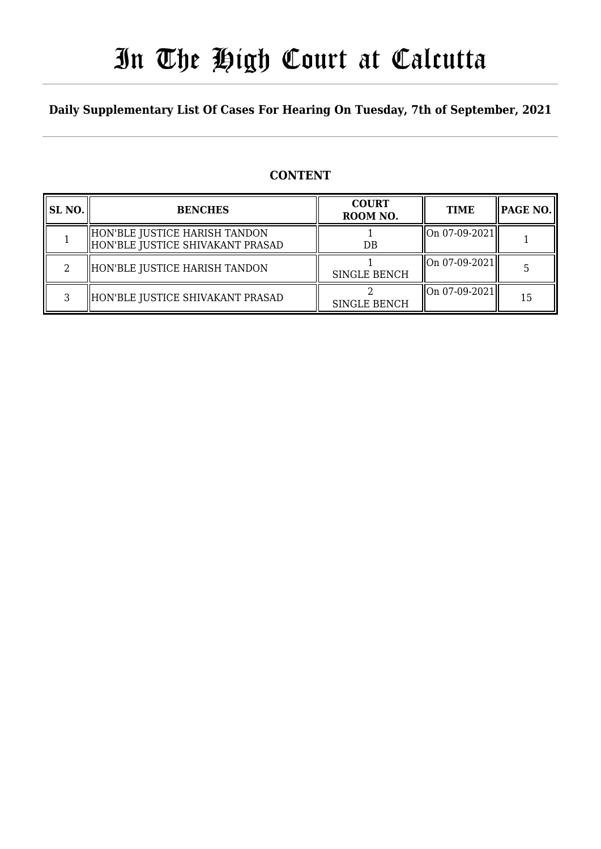# In The High Court at Calcutta

### **Daily Supplementary List Of Cases For Hearing On Tuesday, 7th of September, 2021**

## **CONTENT**

| SL <sub>NO.</sub> | <b>BENCHES</b>                                                    | <b>COURT</b><br>ROOM NO. | <b>TIME</b>   | $ $ PAGE NO. $\ $ |
|-------------------|-------------------------------------------------------------------|--------------------------|---------------|-------------------|
|                   | HON'BLE JUSTICE HARISH TANDON<br>HON'BLE JUSTICE SHIVAKANT PRASAD | DB                       | On 07-09-2021 |                   |
|                   | HON'BLE JUSTICE HARISH TANDON                                     | <b>SINGLE BENCH</b>      | On 07-09-2021 |                   |
|                   | HON'BLE JUSTICE SHIVAKANT PRASAD                                  | <b>SINGLE BENCH</b>      | On 07-09-2021 | 15                |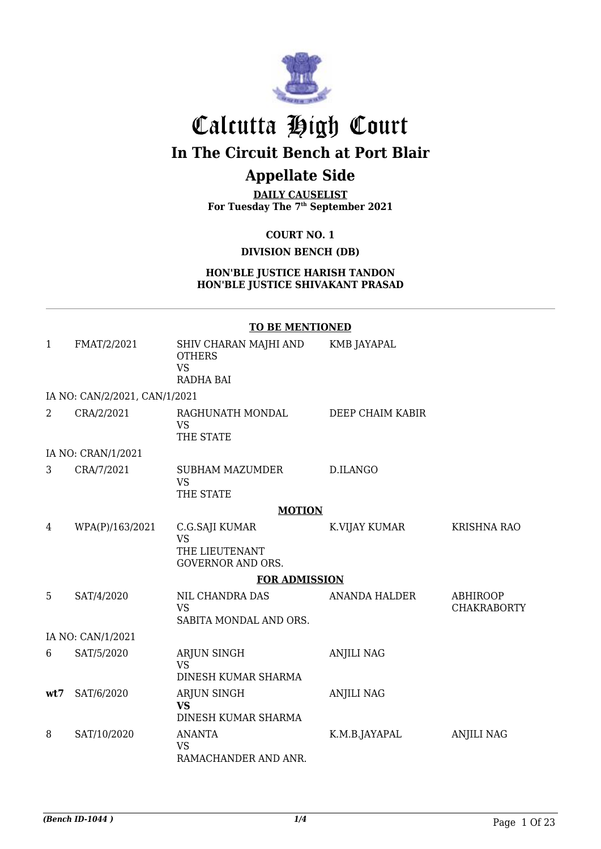

# Calcutta High Court

## **In The Circuit Bench at Port Blair**

## **Appellate Side**

**DAILY CAUSELIST For Tuesday The 7th September 2021**

**COURT NO. 1**

**DIVISION BENCH (DB)**

**HON'BLE JUSTICE HARISH TANDON HON'BLE JUSTICE SHIVAKANT PRASAD**

|              |                               | <b>TO BE MENTIONED</b>                                                    |                      |                                       |
|--------------|-------------------------------|---------------------------------------------------------------------------|----------------------|---------------------------------------|
| $\mathbf{1}$ | FMAT/2/2021                   | SHIV CHARAN MAJHI AND<br><b>OTHERS</b><br><b>VS</b><br><b>RADHA BAI</b>   | <b>KMB JAYAPAL</b>   |                                       |
|              | IA NO: CAN/2/2021, CAN/1/2021 |                                                                           |                      |                                       |
| 2            | CRA/2/2021                    | RAGHUNATH MONDAL<br><b>VS</b><br>THE STATE                                | DEEP CHAIM KABIR     |                                       |
|              | IA NO: CRAN/1/2021            |                                                                           |                      |                                       |
| 3            | CRA/7/2021                    | SUBHAM MAZUMDER<br><b>VS</b><br>THE STATE                                 | D.ILANGO             |                                       |
|              |                               | <b>MOTION</b>                                                             |                      |                                       |
| 4            | WPA(P)/163/2021               | C.G.SAJI KUMAR<br><b>VS</b><br>THE LIEUTENANT<br><b>GOVERNOR AND ORS.</b> | K.VIJAY KUMAR        | <b>KRISHNA RAO</b>                    |
|              |                               | <b>FOR ADMISSION</b>                                                      |                      |                                       |
| 5            | SAT/4/2020                    | NIL CHANDRA DAS<br><b>VS</b><br>SABITA MONDAL AND ORS.                    | <b>ANANDA HALDER</b> | <b>ABHIROOP</b><br><b>CHAKRABORTY</b> |
|              | IA NO: CAN/1/2021             |                                                                           |                      |                                       |
| 6            | SAT/5/2020                    | ARJUN SINGH<br><b>VS</b><br>DINESH KUMAR SHARMA                           | <b>ANJILI NAG</b>    |                                       |
| wt7          | SAT/6/2020                    | ARJUN SINGH<br><b>VS</b><br>DINESH KUMAR SHARMA                           | <b>ANJILI NAG</b>    |                                       |
| 8            | SAT/10/2020                   | ANANTA<br><b>VS</b><br>RAMACHANDER AND ANR.                               | K.M.B.JAYAPAL        | <b>ANJILI NAG</b>                     |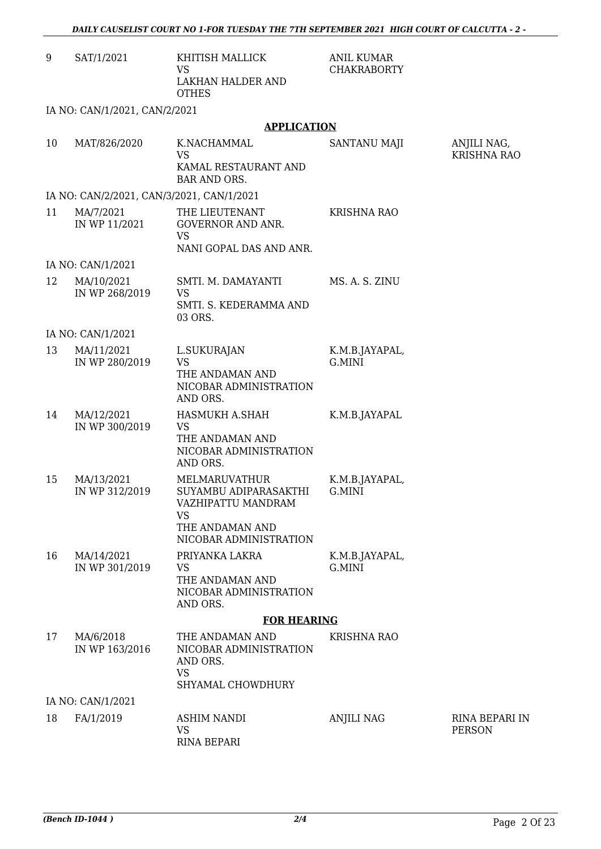| 9  | SAT/1/2021                                | KHITISH MALLICK<br><b>VS</b><br>LAKHAN HALDER AND<br><b>OTHES</b>                                                      | <b>ANIL KUMAR</b><br><b>CHAKRABORTY</b> |                                        |
|----|-------------------------------------------|------------------------------------------------------------------------------------------------------------------------|-----------------------------------------|----------------------------------------|
|    | IA NO: CAN/1/2021, CAN/2/2021             |                                                                                                                        |                                         |                                        |
|    |                                           | <b>APPLICATION</b>                                                                                                     |                                         |                                        |
| 10 | MAT/826/2020                              | K.NACHAMMAL<br><b>VS</b><br>KAMAL RESTAURANT AND<br><b>BAR AND ORS.</b>                                                | SANTANU MAJI                            | ANJILI NAG,<br><b>KRISHNA RAO</b>      |
|    | IA NO: CAN/2/2021, CAN/3/2021, CAN/1/2021 |                                                                                                                        |                                         |                                        |
| 11 | MA/7/2021<br>IN WP 11/2021                | THE LIEUTENANT<br><b>GOVERNOR AND ANR.</b><br><b>VS</b><br>NANI GOPAL DAS AND ANR.                                     | KRISHNA RAO                             |                                        |
|    | IA NO: CAN/1/2021                         |                                                                                                                        |                                         |                                        |
| 12 | MA/10/2021<br>IN WP 268/2019              | SMTI. M. DAMAYANTI<br>VS<br>SMTI. S. KEDERAMMA AND<br>03 ORS.                                                          | MS. A. S. ZINU                          |                                        |
|    | IA NO: CAN/1/2021                         |                                                                                                                        |                                         |                                        |
| 13 | MA/11/2021<br>IN WP 280/2019              | L.SUKURAJAN<br><b>VS</b><br>THE ANDAMAN AND<br>NICOBAR ADMINISTRATION<br>AND ORS.                                      | K.M.B.JAYAPAL,<br>G.MINI                |                                        |
| 14 | MA/12/2021<br>IN WP 300/2019              | HASMUKH A.SHAH<br><b>VS</b><br>THE ANDAMAN AND<br>NICOBAR ADMINISTRATION<br>AND ORS.                                   | K.M.B.JAYAPAL                           |                                        |
| 15 | MA/13/2021<br>IN WP 312/2019              | MELMARUVATHUR<br>SUYAMBU ADIPARASAKTHI<br>VAZHIPATTU MANDRAM<br><b>VS</b><br>THE ANDAMAN AND<br>NICOBAR ADMINISTRATION | K.M.B.JAYAPAL,<br>G.MINI                |                                        |
| 16 | MA/14/2021<br>IN WP 301/2019              | PRIYANKA LAKRA<br><b>VS</b><br>THE ANDAMAN AND<br>NICOBAR ADMINISTRATION<br>AND ORS.                                   | K.M.B.JAYAPAL,<br>G.MINI                |                                        |
|    |                                           | <b>FOR HEARING</b>                                                                                                     |                                         |                                        |
| 17 | MA/6/2018<br>IN WP 163/2016               | THE ANDAMAN AND<br>NICOBAR ADMINISTRATION<br>AND ORS.<br><b>VS</b><br>SHYAMAL CHOWDHURY                                | <b>KRISHNA RAO</b>                      |                                        |
|    | IA NO: CAN/1/2021                         |                                                                                                                        |                                         |                                        |
| 18 | FA/1/2019                                 | <b>ASHIM NANDI</b><br><b>VS</b><br>RINA BEPARI                                                                         | <b>ANJILI NAG</b>                       | <b>RINA BEPARI IN</b><br><b>PERSON</b> |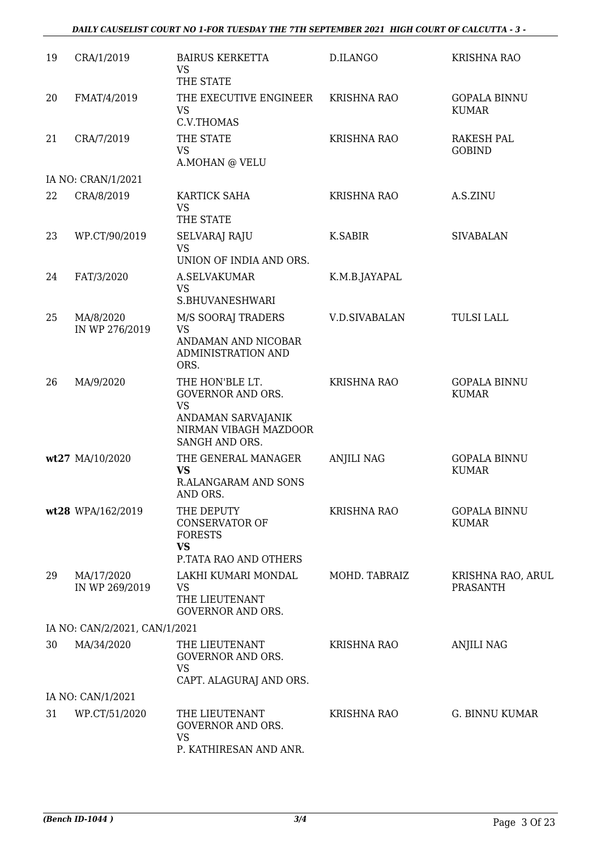#### *DAILY CAUSELIST COURT NO 1-FOR TUESDAY THE 7TH SEPTEMBER 2021 HIGH COURT OF CALCUTTA - 3 -*

| 19 | CRA/1/2019                    | <b>BAIRUS KERKETTA</b><br><b>VS</b><br>THE STATE                                                                          | D.ILANGO             | <b>KRISHNA RAO</b>                   |
|----|-------------------------------|---------------------------------------------------------------------------------------------------------------------------|----------------------|--------------------------------------|
| 20 | FMAT/4/2019                   | THE EXECUTIVE ENGINEER<br><b>VS</b><br>C.V.THOMAS                                                                         | <b>KRISHNA RAO</b>   | <b>GOPALA BINNU</b><br><b>KUMAR</b>  |
| 21 | CRA/7/2019                    | THE STATE<br>VS<br>A.MOHAN @ VELU                                                                                         | <b>KRISHNA RAO</b>   | RAKESH PAL<br><b>GOBIND</b>          |
|    | IA NO: CRAN/1/2021            |                                                                                                                           |                      |                                      |
| 22 | CRA/8/2019                    | KARTICK SAHA<br><b>VS</b><br>THE STATE                                                                                    | <b>KRISHNA RAO</b>   | A.S.ZINU                             |
| 23 | WP.CT/90/2019                 | <b>SELVARAJ RAJU</b><br><b>VS</b><br>UNION OF INDIA AND ORS.                                                              | <b>K.SABIR</b>       | <b>SIVABALAN</b>                     |
| 24 | FAT/3/2020                    | <b>A.SELVAKUMAR</b><br><b>VS</b><br>S.BHUVANESHWARI                                                                       | K.M.B.JAYAPAL        |                                      |
| 25 | MA/8/2020<br>IN WP 276/2019   | M/S SOORAJ TRADERS<br><b>VS</b><br>ANDAMAN AND NICOBAR<br>ADMINISTRATION AND<br>ORS.                                      | <b>V.D.SIVABALAN</b> | <b>TULSI LALL</b>                    |
| 26 | MA/9/2020                     | THE HON'BLE LT.<br><b>GOVERNOR AND ORS.</b><br><b>VS</b><br>ANDAMAN SARVAJANIK<br>NIRMAN VIBAGH MAZDOOR<br>SANGH AND ORS. | <b>KRISHNA RAO</b>   | <b>GOPALA BINNU</b><br><b>KUMAR</b>  |
|    | wt27 MA/10/2020               | THE GENERAL MANAGER<br><b>VS</b><br>R.ALANGARAM AND SONS<br>AND ORS.                                                      | <b>ANJILI NAG</b>    | <b>GOPALA BINNU</b><br><b>KUMAR</b>  |
|    | wt28 WPA/162/2019             | THE DEPUTY<br><b>CONSERVATOR OF</b><br><b>FORESTS</b><br><b>VS</b><br>P.TATA RAO AND OTHERS                               | <b>KRISHNA RAO</b>   | <b>GOPALA BINNU</b><br><b>KUMAR</b>  |
| 29 | MA/17/2020<br>IN WP 269/2019  | LAKHI KUMARI MONDAL<br><b>VS</b><br>THE LIEUTENANT<br><b>GOVERNOR AND ORS.</b>                                            | MOHD. TABRAIZ        | KRISHNA RAO, ARUL<br><b>PRASANTH</b> |
|    | IA NO: CAN/2/2021, CAN/1/2021 |                                                                                                                           |                      |                                      |
| 30 | MA/34/2020                    | THE LIEUTENANT<br><b>GOVERNOR AND ORS.</b><br><b>VS</b><br>CAPT. ALAGURAJ AND ORS.                                        | KRISHNA RAO          | <b>ANJILI NAG</b>                    |
|    | IA NO: CAN/1/2021             |                                                                                                                           |                      |                                      |
| 31 | WP.CT/51/2020                 | THE LIEUTENANT<br><b>GOVERNOR AND ORS.</b><br><b>VS</b><br>P. KATHIRESAN AND ANR.                                         | <b>KRISHNA RAO</b>   | G. BINNU KUMAR                       |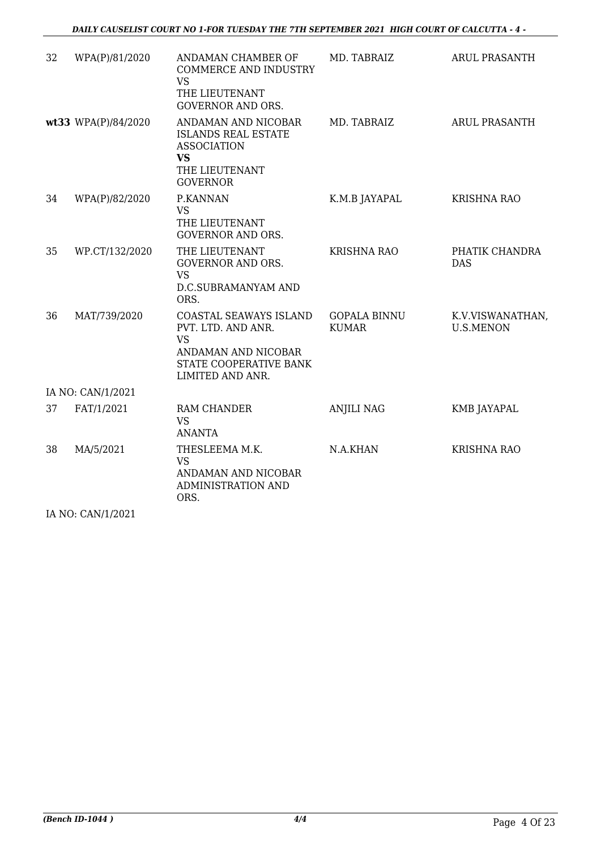| 32 | WPA(P)/81/2020      | ANDAMAN CHAMBER OF<br><b>COMMERCE AND INDUSTRY</b><br><b>VS</b><br>THE LIEUTENANT                                                                     | MD. TABRAIZ                         | <b>ARUL PRASANTH</b>                 |
|----|---------------------|-------------------------------------------------------------------------------------------------------------------------------------------------------|-------------------------------------|--------------------------------------|
|    | wt33 WPA(P)/84/2020 | <b>GOVERNOR AND ORS.</b><br>ANDAMAN AND NICOBAR<br><b>ISLANDS REAL ESTATE</b><br><b>ASSOCIATION</b><br><b>VS</b><br>THE LIEUTENANT<br><b>GOVERNOR</b> | MD. TABRAIZ                         | <b>ARUL PRASANTH</b>                 |
| 34 | WPA(P)/82/2020      | P.KANNAN<br><b>VS</b><br>THE LIEUTENANT<br><b>GOVERNOR AND ORS.</b>                                                                                   | K.M.B JAYAPAL                       | <b>KRISHNA RAO</b>                   |
| 35 | WP.CT/132/2020      | THE LIEUTENANT<br><b>GOVERNOR AND ORS.</b><br><b>VS</b><br>D.C.SUBRAMANYAM AND<br>ORS.                                                                | <b>KRISHNA RAO</b>                  | PHATIK CHANDRA<br><b>DAS</b>         |
| 36 | MAT/739/2020        | COASTAL SEAWAYS ISLAND<br>PVT. LTD. AND ANR.<br><b>VS</b><br>ANDAMAN AND NICOBAR<br>STATE COOPERATIVE BANK<br>LIMITED AND ANR.                        | <b>GOPALA BINNU</b><br><b>KUMAR</b> | K.V.VISWANATHAN,<br><b>U.S.MENON</b> |
|    | IA NO: CAN/1/2021   |                                                                                                                                                       |                                     |                                      |
| 37 | FAT/1/2021          | RAM CHANDER<br><b>VS</b><br><b>ANANTA</b>                                                                                                             | <b>ANJILI NAG</b>                   | KMB JAYAPAL                          |
| 38 | MA/5/2021           | THESLEEMA M.K.<br><b>VS</b><br>ANDAMAN AND NICOBAR<br><b>ADMINISTRATION AND</b><br>ORS.                                                               | N.A.KHAN                            | <b>KRISHNA RAO</b>                   |

IA NO: CAN/1/2021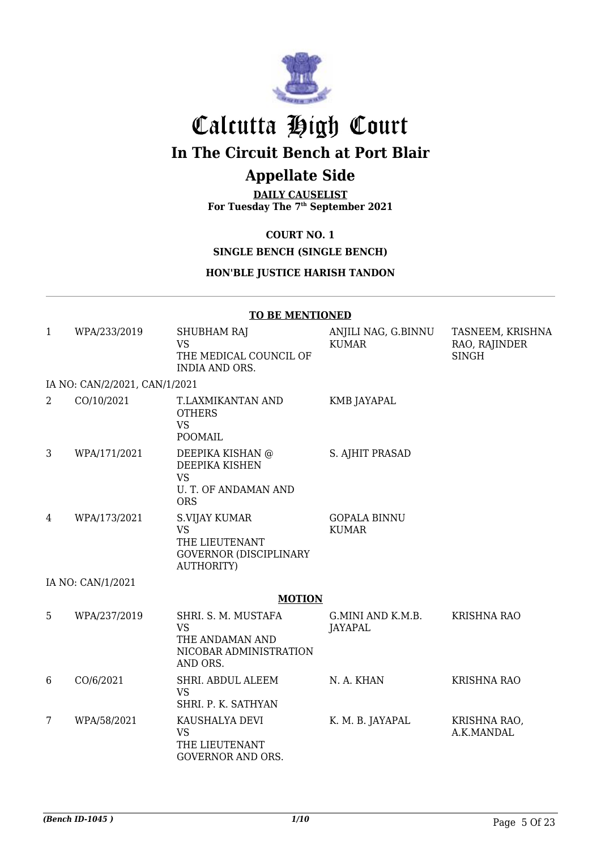

# Calcutta High Court **In The Circuit Bench at Port Blair**

## **Appellate Side**

**DAILY CAUSELIST For Tuesday The 7th September 2021**

**COURT NO. 1**

**SINGLE BENCH (SINGLE BENCH)**

#### **HON'BLE JUSTICE HARISH TANDON**

|              |                               | <b>TO BE MENTIONED</b>                                                                             |                                     |                                                   |
|--------------|-------------------------------|----------------------------------------------------------------------------------------------------|-------------------------------------|---------------------------------------------------|
| $\mathbf{1}$ | WPA/233/2019                  | <b>SHUBHAM RAJ</b><br><b>VS</b><br>THE MEDICAL COUNCIL OF<br>INDIA AND ORS.                        | ANJILI NAG, G.BINNU<br><b>KUMAR</b> | TASNEEM, KRISHNA<br>RAO, RAJINDER<br><b>SINGH</b> |
|              | IA NO: CAN/2/2021, CAN/1/2021 |                                                                                                    |                                     |                                                   |
| 2            | CO/10/2021                    | T.LAXMIKANTAN AND<br><b>OTHERS</b><br><b>VS</b><br><b>POOMAIL</b>                                  | <b>KMB JAYAPAL</b>                  |                                                   |
| 3            | WPA/171/2021                  | DEEPIKA KISHAN @<br>DEEPIKA KISHEN<br><b>VS</b><br><b>U. T. OF ANDAMAN AND</b><br><b>ORS</b>       | S. AJHIT PRASAD                     |                                                   |
| 4            | WPA/173/2021                  | S.VIJAY KUMAR<br><b>VS</b><br>THE LIEUTENANT<br><b>GOVERNOR (DISCIPLINARY</b><br><b>AUTHORITY)</b> | <b>GOPALA BINNU</b><br><b>KUMAR</b> |                                                   |
|              | IA NO: CAN/1/2021             |                                                                                                    |                                     |                                                   |
|              |                               | <b>MOTION</b>                                                                                      |                                     |                                                   |
| 5            | WPA/237/2019                  | SHRI. S. M. MUSTAFA<br><b>VS</b><br>THE ANDAMAN AND<br>NICOBAR ADMINISTRATION<br>AND ORS.          | G.MINI AND K.M.B.<br>JAYAPAL        | <b>KRISHNA RAO</b>                                |
| 6            | CO/6/2021                     | SHRI. ABDUL ALEEM<br><b>VS</b><br>SHRI. P. K. SATHYAN                                              | N. A. KHAN                          | KRISHNA RAO                                       |
| 7            | WPA/58/2021                   | KAUSHALYA DEVI<br><b>VS</b><br>THE LIEUTENANT<br><b>GOVERNOR AND ORS.</b>                          | K. M. B. JAYAPAL                    | KRISHNA RAO,<br>A.K.MANDAL                        |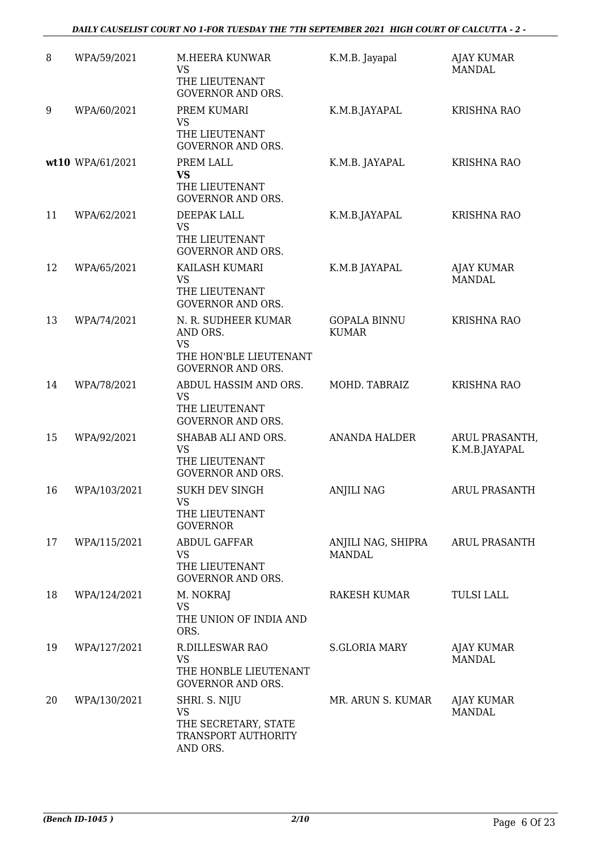#### *DAILY CAUSELIST COURT NO 1-FOR TUESDAY THE 7TH SEPTEMBER 2021 HIGH COURT OF CALCUTTA - 2 -*

| 8  | WPA/59/2021      | <b>M.HEERA KUNWAR</b><br><b>VS</b><br>THE LIEUTENANT<br><b>GOVERNOR AND ORS.</b>                   | K.M.B. Jayapal                      | <b>AJAY KUMAR</b><br><b>MANDAL</b> |
|----|------------------|----------------------------------------------------------------------------------------------------|-------------------------------------|------------------------------------|
| 9  | WPA/60/2021      | PREM KUMARI<br><b>VS</b><br>THE LIEUTENANT<br><b>GOVERNOR AND ORS.</b>                             | K.M.B.JAYAPAL                       | <b>KRISHNA RAO</b>                 |
|    | wt10 WPA/61/2021 | PREM LALL<br><b>VS</b><br>THE LIEUTENANT<br><b>GOVERNOR AND ORS.</b>                               | K.M.B. JAYAPAL                      | <b>KRISHNA RAO</b>                 |
| 11 | WPA/62/2021      | DEEPAK LALL<br><b>VS</b><br>THE LIEUTENANT<br><b>GOVERNOR AND ORS.</b>                             | K.M.B.JAYAPAL                       | <b>KRISHNA RAO</b>                 |
| 12 | WPA/65/2021      | KAILASH KUMARI<br><b>VS</b><br>THE LIEUTENANT<br><b>GOVERNOR AND ORS.</b>                          | K.M.B JAYAPAL                       | <b>AJAY KUMAR</b><br><b>MANDAL</b> |
| 13 | WPA/74/2021      | N. R. SUDHEER KUMAR<br>AND ORS.<br><b>VS</b><br>THE HON'BLE LIEUTENANT<br><b>GOVERNOR AND ORS.</b> | <b>GOPALA BINNU</b><br><b>KUMAR</b> | <b>KRISHNA RAO</b>                 |
| 14 | WPA/78/2021      | ABDUL HASSIM AND ORS.<br><b>VS</b><br>THE LIEUTENANT<br><b>GOVERNOR AND ORS.</b>                   | MOHD. TABRAIZ                       | <b>KRISHNA RAO</b>                 |
| 15 | WPA/92/2021      | SHABAB ALI AND ORS.<br><b>VS</b><br>THE LIEUTENANT<br><b>GOVERNOR AND ORS.</b>                     | <b>ANANDA HALDER</b>                | ARUL PRASANTH,<br>K.M.B.JAYAPAL    |
| 16 | WPA/103/2021     | <b>SUKH DEV SINGH</b><br><b>VS</b><br>THE LIEUTENANT<br><b>GOVERNOR</b>                            | <b>ANJILI NAG</b>                   | <b>ARUL PRASANTH</b>               |
| 17 | WPA/115/2021     | <b>ABDUL GAFFAR</b><br>VS<br>THE LIEUTENANT<br><b>GOVERNOR AND ORS.</b>                            | ANJILI NAG, SHIPRA<br><b>MANDAL</b> | <b>ARUL PRASANTH</b>               |
| 18 | WPA/124/2021     | M. NOKRAJ<br><b>VS</b><br>THE UNION OF INDIA AND<br>ORS.                                           | RAKESH KUMAR                        | <b>TULSI LALL</b>                  |
| 19 | WPA/127/2021     | R.DILLESWAR RAO<br><b>VS</b><br>THE HONBLE LIEUTENANT<br><b>GOVERNOR AND ORS.</b>                  | <b>S.GLORIA MARY</b>                | AJAY KUMAR<br><b>MANDAL</b>        |
| 20 | WPA/130/2021     | SHRI. S. NIJU<br><b>VS</b><br>THE SECRETARY, STATE<br>TRANSPORT AUTHORITY<br>AND ORS.              | MR. ARUN S. KUMAR                   | <b>AJAY KUMAR</b><br><b>MANDAL</b> |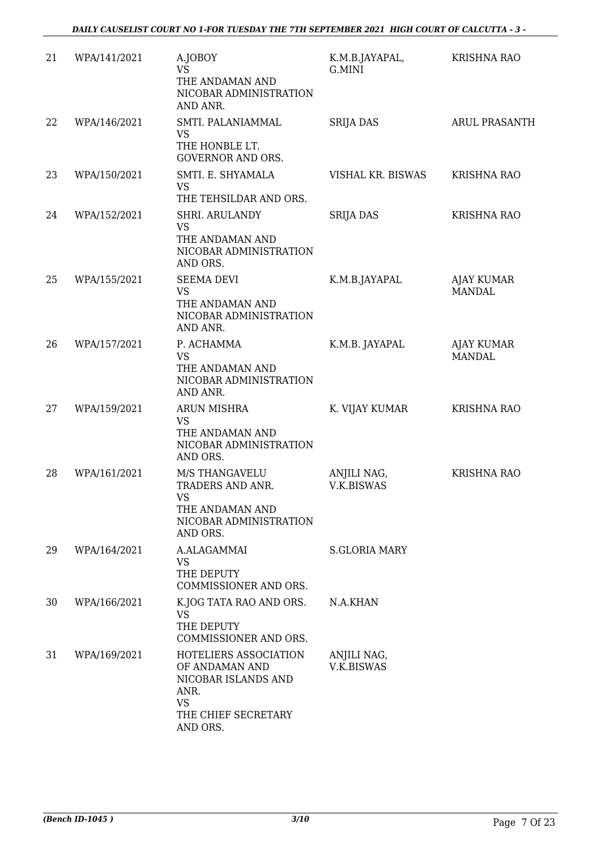| 21 | WPA/141/2021 | A.JOBOY<br><b>VS</b><br>THE ANDAMAN AND<br>NICOBAR ADMINISTRATION<br>AND ANR.                                          | K.M.B.JAYAPAL,<br>G.MINI  | <b>KRISHNA RAO</b>                 |
|----|--------------|------------------------------------------------------------------------------------------------------------------------|---------------------------|------------------------------------|
| 22 | WPA/146/2021 | SMTI. PALANIAMMAL<br><b>VS</b><br>THE HONBLE LT.<br><b>GOVERNOR AND ORS.</b>                                           | <b>SRIJA DAS</b>          | <b>ARUL PRASANTH</b>               |
| 23 | WPA/150/2021 | SMTI. E. SHYAMALA<br><b>VS</b><br>THE TEHSILDAR AND ORS.                                                               | VISHAL KR. BISWAS         | <b>KRISHNA RAO</b>                 |
| 24 | WPA/152/2021 | SHRI. ARULANDY<br><b>VS</b><br>THE ANDAMAN AND<br>NICOBAR ADMINISTRATION<br>AND ORS.                                   | <b>SRIJA DAS</b>          | <b>KRISHNA RAO</b>                 |
| 25 | WPA/155/2021 | <b>SEEMA DEVI</b><br><b>VS</b><br>THE ANDAMAN AND<br>NICOBAR ADMINISTRATION<br>AND ANR.                                | K.M.B.JAYAPAL             | AJAY KUMAR<br><b>MANDAL</b>        |
| 26 | WPA/157/2021 | P. ACHAMMA<br><b>VS</b><br>THE ANDAMAN AND<br>NICOBAR ADMINISTRATION<br>AND ANR.                                       | K.M.B. JAYAPAL            | <b>AJAY KUMAR</b><br><b>MANDAL</b> |
| 27 | WPA/159/2021 | ARUN MISHRA<br><b>VS</b><br>THE ANDAMAN AND<br>NICOBAR ADMINISTRATION<br>AND ORS.                                      | K. VIJAY KUMAR            | KRISHNA RAO                        |
| 28 | WPA/161/2021 | M/S THANGAVELU<br>TRADERS AND ANR.<br><b>VS</b><br>THE ANDAMAN AND<br>NICOBAR ADMINISTRATION<br>AND ORS.               | ANJILI NAG,<br>V.K.BISWAS | <b>KRISHNA RAO</b>                 |
| 29 | WPA/164/2021 | A.ALAGAMMAI<br>VS<br>THE DEPUTY<br>COMMISSIONER AND ORS.                                                               | <b>S.GLORIA MARY</b>      |                                    |
| 30 | WPA/166/2021 | K.JOG TATA RAO AND ORS.<br><b>VS</b><br>THE DEPUTY<br>COMMISSIONER AND ORS.                                            | N.A.KHAN                  |                                    |
| 31 | WPA/169/2021 | HOTELIERS ASSOCIATION<br>OF ANDAMAN AND<br>NICOBAR ISLANDS AND<br>ANR.<br><b>VS</b><br>THE CHIEF SECRETARY<br>AND ORS. | ANJILI NAG,<br>V.K.BISWAS |                                    |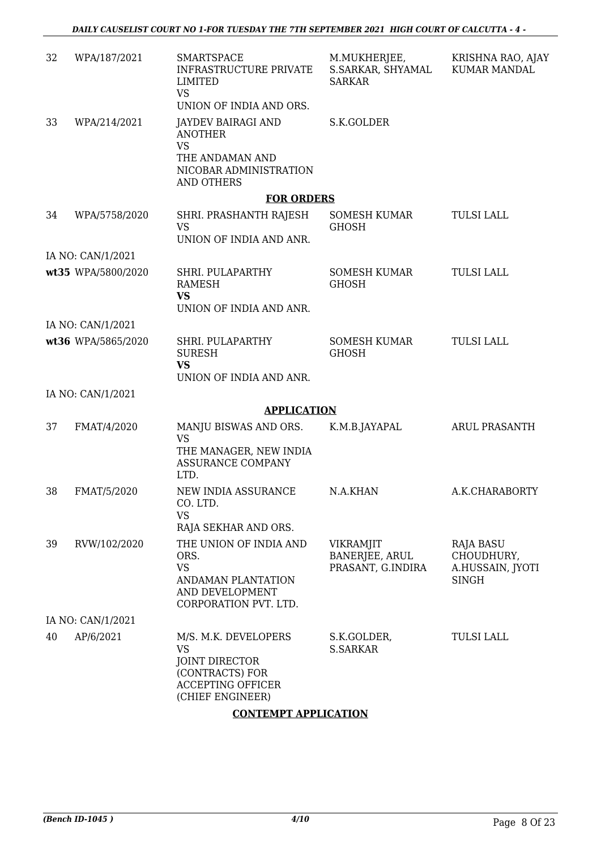| 32 | WPA/187/2021       | <b>SMARTSPACE</b><br><b>INFRASTRUCTURE PRIVATE</b><br>LIMITED<br><b>VS</b>                                                    | M.MUKHERJEE,<br>S.SARKAR, SHYAMAL<br><b>SARKAR</b>      | KRISHNA RAO, AJAY<br><b>KUMAR MANDAL</b>                           |
|----|--------------------|-------------------------------------------------------------------------------------------------------------------------------|---------------------------------------------------------|--------------------------------------------------------------------|
|    |                    | UNION OF INDIA AND ORS.                                                                                                       |                                                         |                                                                    |
| 33 | WPA/214/2021       | <b>JAYDEV BAIRAGI AND</b><br><b>ANOTHER</b><br><b>VS</b><br>THE ANDAMAN AND<br>NICOBAR ADMINISTRATION<br><b>AND OTHERS</b>    | S.K.GOLDER                                              |                                                                    |
|    |                    | <b>FOR ORDERS</b>                                                                                                             |                                                         |                                                                    |
| 34 | WPA/5758/2020      | SHRI. PRASHANTH RAJESH<br><b>VS</b><br>UNION OF INDIA AND ANR.                                                                | SOMESH KUMAR<br><b>GHOSH</b>                            | <b>TULSI LALL</b>                                                  |
|    | IA NO: CAN/1/2021  |                                                                                                                               |                                                         |                                                                    |
|    | wt35 WPA/5800/2020 | SHRI. PULAPARTHY<br><b>RAMESH</b><br><b>VS</b><br>UNION OF INDIA AND ANR.                                                     | <b>SOMESH KUMAR</b><br><b>GHOSH</b>                     | <b>TULSI LALL</b>                                                  |
|    | IA NO: CAN/1/2021  |                                                                                                                               |                                                         |                                                                    |
|    | wt36 WPA/5865/2020 | SHRI. PULAPARTHY<br><b>SURESH</b><br><b>VS</b><br>UNION OF INDIA AND ANR.                                                     | <b>SOMESH KUMAR</b><br><b>GHOSH</b>                     | <b>TULSI LALL</b>                                                  |
|    | IA NO: CAN/1/2021  |                                                                                                                               |                                                         |                                                                    |
|    |                    | <b>APPLICATION</b>                                                                                                            |                                                         |                                                                    |
| 37 | FMAT/4/2020        | MANJU BISWAS AND ORS.<br><b>VS</b><br>THE MANAGER, NEW INDIA<br><b>ASSURANCE COMPANY</b><br>LTD.                              | K.M.B.JAYAPAL                                           | <b>ARUL PRASANTH</b>                                               |
| 38 | FMAT/5/2020        | NEW INDIA ASSURANCE<br>CO. LTD.<br><b>VS</b><br>RAJA SEKHAR AND ORS.                                                          | N.A.KHAN                                                | A.K.CHARABORTY                                                     |
| 39 | RVW/102/2020       | THE UNION OF INDIA AND<br>ORS.<br><b>VS</b><br>ANDAMAN PLANTATION<br>AND DEVELOPMENT<br>CORPORATION PVT. LTD.                 | <b>VIKRAMJIT</b><br>BANERJEE, ARUL<br>PRASANT, G.INDIRA | <b>RAJA BASU</b><br>CHOUDHURY,<br>A.HUSSAIN, JYOTI<br><b>SINGH</b> |
|    | IA NO: CAN/1/2021  |                                                                                                                               |                                                         |                                                                    |
| 40 | AP/6/2021          | M/S. M.K. DEVELOPERS<br><b>VS</b><br><b>JOINT DIRECTOR</b><br>(CONTRACTS) FOR<br><b>ACCEPTING OFFICER</b><br>(CHIEF ENGINEER) | S.K.GOLDER,<br><b>S.SARKAR</b>                          | <b>TULSI LALL</b>                                                  |

#### **CONTEMPT APPLICATION**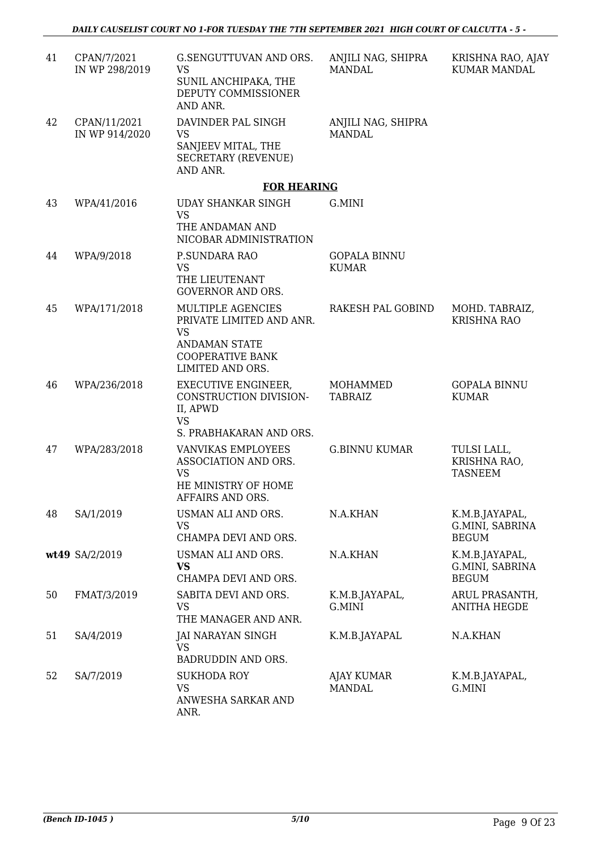| 41 | CPAN/7/2021<br>IN WP 298/2019  | G.SENGUTTUVAN AND ORS.<br><b>VS</b><br>SUNIL ANCHIPAKA, THE<br>DEPUTY COMMISSIONER<br>AND ANR.                                    | ANJILI NAG, SHIPRA<br><b>MANDAL</b> | KRISHNA RAO, AJAY<br><b>KUMAR MANDAL</b>          |
|----|--------------------------------|-----------------------------------------------------------------------------------------------------------------------------------|-------------------------------------|---------------------------------------------------|
| 42 | CPAN/11/2021<br>IN WP 914/2020 | DAVINDER PAL SINGH<br><b>VS</b><br>SANJEEV MITAL, THE<br><b>SECRETARY (REVENUE)</b><br>AND ANR.                                   | ANJILI NAG, SHIPRA<br><b>MANDAL</b> |                                                   |
|    |                                | <b>FOR HEARING</b>                                                                                                                |                                     |                                                   |
| 43 | WPA/41/2016                    | UDAY SHANKAR SINGH<br><b>VS</b><br>THE ANDAMAN AND<br>NICOBAR ADMINISTRATION                                                      | G.MINI                              |                                                   |
| 44 | WPA/9/2018                     | P.SUNDARA RAO<br><b>VS</b><br>THE LIEUTENANT<br><b>GOVERNOR AND ORS.</b>                                                          | <b>GOPALA BINNU</b><br><b>KUMAR</b> |                                                   |
| 45 | WPA/171/2018                   | MULTIPLE AGENCIES<br>PRIVATE LIMITED AND ANR.<br><b>VS</b><br><b>ANDAMAN STATE</b><br><b>COOPERATIVE BANK</b><br>LIMITED AND ORS. | RAKESH PAL GOBIND                   | MOHD. TABRAIZ,<br>KRISHNA RAO                     |
| 46 | WPA/236/2018                   | EXECUTIVE ENGINEER,<br>CONSTRUCTION DIVISION-<br>II, APWD<br><b>VS</b><br>S. PRABHAKARAN AND ORS.                                 | MOHAMMED<br><b>TABRAIZ</b>          | <b>GOPALA BINNU</b><br><b>KUMAR</b>               |
| 47 | WPA/283/2018                   | VANVIKAS EMPLOYEES<br>ASSOCIATION AND ORS.<br><b>VS</b><br>HE MINISTRY OF HOME<br>AFFAIRS AND ORS.                                | <b>G.BINNU KUMAR</b>                | TULSI LALL,<br>KRISHNA RAO,<br><b>TASNEEM</b>     |
| 48 | SA/1/2019                      | USMAN ALI AND ORS.<br><b>VS</b><br>CHAMPA DEVI AND ORS.                                                                           | N.A.KHAN                            | K.M.B.JAYAPAL,<br>G.MINI, SABRINA<br><b>BEGUM</b> |
|    | wt49 SA/2/2019                 | USMAN ALI AND ORS.<br><b>VS</b><br>CHAMPA DEVI AND ORS.                                                                           | N.A.KHAN                            | K.M.B.JAYAPAL,<br>G.MINI, SABRINA<br><b>BEGUM</b> |
| 50 | FMAT/3/2019                    | SABITA DEVI AND ORS.<br><b>VS</b><br>THE MANAGER AND ANR.                                                                         | K.M.B.JAYAPAL,<br>G.MINI            | ARUL PRASANTH,<br><b>ANITHA HEGDE</b>             |
| 51 | SA/4/2019                      | JAI NARAYAN SINGH<br><b>VS</b><br>BADRUDDIN AND ORS.                                                                              | K.M.B.JAYAPAL                       | N.A.KHAN                                          |
| 52 | SA/7/2019                      | <b>SUKHODA ROY</b><br><b>VS</b><br>ANWESHA SARKAR AND<br>ANR.                                                                     | <b>AJAY KUMAR</b><br><b>MANDAL</b>  | K.M.B.JAYAPAL,<br>G.MINI                          |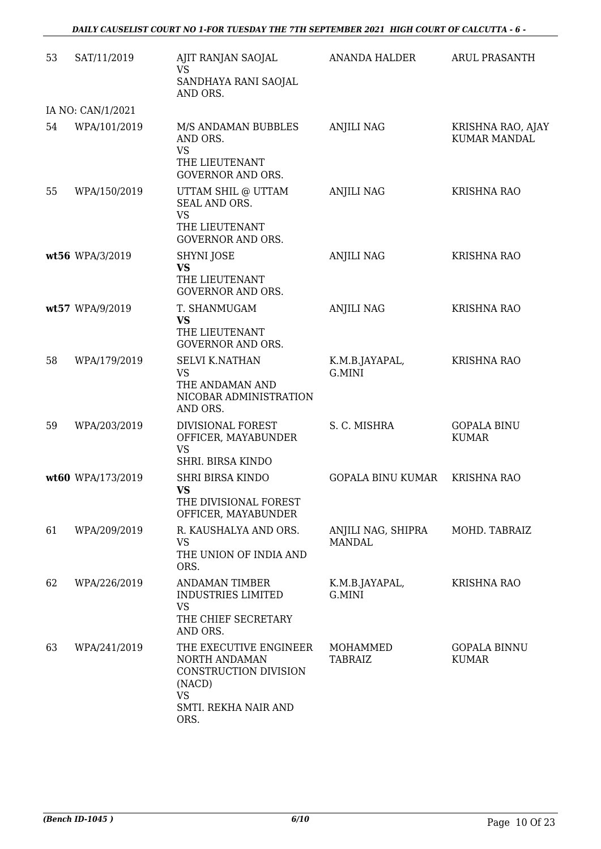| 53 | SAT/11/2019       | AJIT RANJAN SAOJAL<br>VS                                                                                                | <b>ANANDA HALDER</b>                | <b>ARUL PRASANTH</b>                     |
|----|-------------------|-------------------------------------------------------------------------------------------------------------------------|-------------------------------------|------------------------------------------|
|    |                   | SANDHAYA RANI SAOJAL<br>AND ORS.                                                                                        |                                     |                                          |
|    | IA NO: CAN/1/2021 |                                                                                                                         |                                     |                                          |
| 54 | WPA/101/2019      | M/S ANDAMAN BUBBLES<br>AND ORS.<br><b>VS</b><br>THE LIEUTENANT<br><b>GOVERNOR AND ORS.</b>                              | <b>ANJILI NAG</b>                   | KRISHNA RAO, AJAY<br><b>KUMAR MANDAL</b> |
| 55 | WPA/150/2019      | UTTAM SHIL @ UTTAM<br>SEAL AND ORS.<br><b>VS</b><br>THE LIEUTENANT                                                      | <b>ANJILI NAG</b>                   | <b>KRISHNA RAO</b>                       |
|    |                   | <b>GOVERNOR AND ORS.</b>                                                                                                |                                     |                                          |
|    | wt56 WPA/3/2019   | <b>SHYNI JOSE</b><br><b>VS</b><br>THE LIEUTENANT<br><b>GOVERNOR AND ORS.</b>                                            | <b>ANJILI NAG</b>                   | <b>KRISHNA RAO</b>                       |
|    | wt57 WPA/9/2019   | T. SHANMUGAM<br>VS<br>THE LIEUTENANT<br><b>GOVERNOR AND ORS.</b>                                                        | <b>ANJILI NAG</b>                   | <b>KRISHNA RAO</b>                       |
| 58 | WPA/179/2019      | <b>SELVI K.NATHAN</b><br><b>VS</b><br>THE ANDAMAN AND<br>NICOBAR ADMINISTRATION<br>AND ORS.                             | K.M.B.JAYAPAL,<br>G.MINI            | <b>KRISHNA RAO</b>                       |
| 59 | WPA/203/2019      | DIVISIONAL FOREST<br>OFFICER, MAYABUNDER<br><b>VS</b><br>SHRI. BIRSA KINDO                                              | S. C. MISHRA                        | <b>GOPALA BINU</b><br><b>KUMAR</b>       |
|    | wt60 WPA/173/2019 | <b>SHRI BIRSA KINDO</b><br><b>VS</b><br>THE DIVISIONAL FOREST<br>OFFICER, MAYABUNDER                                    | <b>GOPALA BINU KUMAR</b>            | <b>KRISHNA RAO</b>                       |
| 61 | WPA/209/2019      | R. KAUSHALYA AND ORS.<br><b>VS</b><br>THE UNION OF INDIA AND<br>ORS.                                                    | ANJILI NAG, SHIPRA<br><b>MANDAL</b> | MOHD. TABRAIZ                            |
| 62 | WPA/226/2019      | <b>ANDAMAN TIMBER</b><br><b>INDUSTRIES LIMITED</b><br>VS<br>THE CHIEF SECRETARY<br>AND ORS.                             | K.M.B.JAYAPAL,<br>G.MINI            | <b>KRISHNA RAO</b>                       |
| 63 | WPA/241/2019      | THE EXECUTIVE ENGINEER<br>NORTH ANDAMAN<br>CONSTRUCTION DIVISION<br>(NACD)<br><b>VS</b><br>SMTI. REKHA NAIR AND<br>ORS. | MOHAMMED<br><b>TABRAIZ</b>          | <b>GOPALA BINNU</b><br><b>KUMAR</b>      |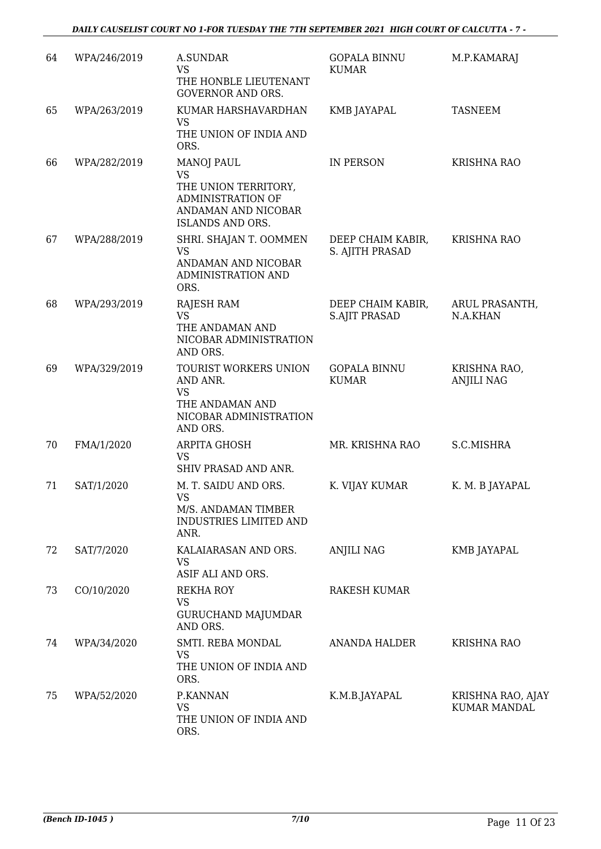| 64 | WPA/246/2019 | A.SUNDAR<br><b>VS</b><br>THE HONBLE LIEUTENANT                                                                                | <b>GOPALA BINNU</b><br><b>KUMAR</b>       | M.P.KAMARAJ                              |
|----|--------------|-------------------------------------------------------------------------------------------------------------------------------|-------------------------------------------|------------------------------------------|
| 65 | WPA/263/2019 | <b>GOVERNOR AND ORS.</b><br>KUMAR HARSHAVARDHAN<br><b>VS</b><br>THE UNION OF INDIA AND<br>ORS.                                | KMB JAYAPAL                               | <b>TASNEEM</b>                           |
| 66 | WPA/282/2019 | <b>MANOJ PAUL</b><br><b>VS</b><br>THE UNION TERRITORY,<br>ADMINISTRATION OF<br>ANDAMAN AND NICOBAR<br><b>ISLANDS AND ORS.</b> | IN PERSON                                 | <b>KRISHNA RAO</b>                       |
| 67 | WPA/288/2019 | SHRI. SHAJAN T. OOMMEN<br>VS<br>ANDAMAN AND NICOBAR<br>ADMINISTRATION AND<br>ORS.                                             | DEEP CHAIM KABIR,<br>S. AJITH PRASAD      | <b>KRISHNA RAO</b>                       |
| 68 | WPA/293/2019 | RAJESH RAM<br><b>VS</b><br>THE ANDAMAN AND<br>NICOBAR ADMINISTRATION<br>AND ORS.                                              | DEEP CHAIM KABIR,<br><b>S.AJIT PRASAD</b> | ARUL PRASANTH,<br>N.A.KHAN               |
| 69 | WPA/329/2019 | TOURIST WORKERS UNION<br>AND ANR.<br><b>VS</b><br>THE ANDAMAN AND<br>NICOBAR ADMINISTRATION<br>AND ORS.                       | <b>GOPALA BINNU</b><br><b>KUMAR</b>       | KRISHNA RAO,<br><b>ANJILI NAG</b>        |
| 70 | FMA/1/2020   | ARPITA GHOSH<br><b>VS</b><br>SHIV PRASAD AND ANR.                                                                             | MR. KRISHNA RAO                           | S.C.MISHRA                               |
| 71 | SAT/1/2020   | M. T. SAIDU AND ORS.<br><b>VS</b><br>M/S. ANDAMAN TIMBER<br>INDUSTRIES LIMITED AND<br>ANR.                                    | K. VIJAY KUMAR                            | K. M. B JAYAPAL                          |
| 72 | SAT/7/2020   | KALAIARASAN AND ORS.<br>VS<br>ASIF ALI AND ORS.                                                                               | ANJILI NAG                                | KMB JAYAPAL                              |
| 73 | CO/10/2020   | REKHA ROY<br><b>VS</b><br><b>GURUCHAND MAJUMDAR</b><br>AND ORS.                                                               | RAKESH KUMAR                              |                                          |
| 74 | WPA/34/2020  | SMTI. REBA MONDAL<br><b>VS</b><br>THE UNION OF INDIA AND<br>ORS.                                                              | ANANDA HALDER                             | <b>KRISHNA RAO</b>                       |
| 75 | WPA/52/2020  | P.KANNAN<br><b>VS</b><br>THE UNION OF INDIA AND<br>ORS.                                                                       | K.M.B.JAYAPAL                             | KRISHNA RAO, AJAY<br><b>KUMAR MANDAL</b> |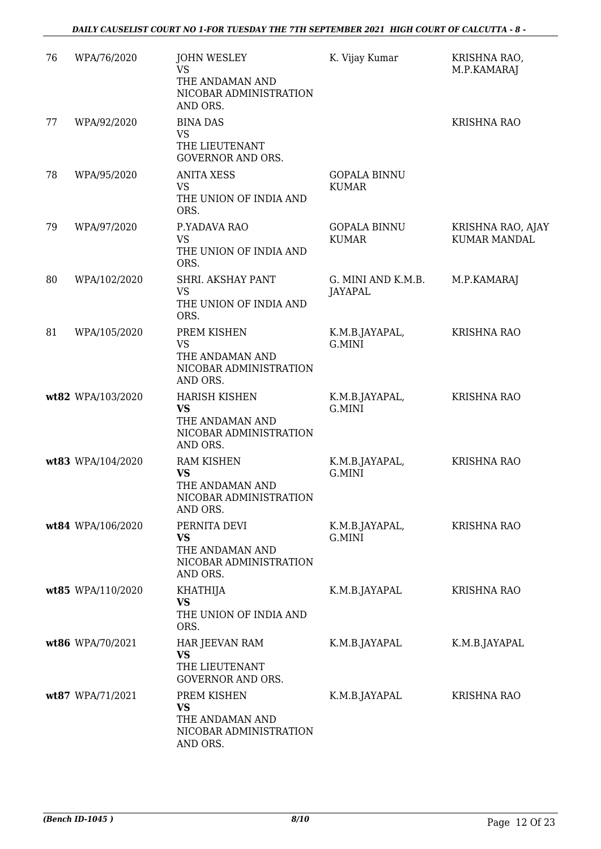| 76 | WPA/76/2020       | <b>JOHN WESLEY</b><br><b>VS</b><br>THE ANDAMAN AND<br>NICOBAR ADMINISTRATION<br>AND ORS.   | K. Vijay Kumar                       | KRISHNA RAO,<br>M.P.KAMARAJ              |
|----|-------------------|--------------------------------------------------------------------------------------------|--------------------------------------|------------------------------------------|
| 77 | WPA/92/2020       | <b>BINA DAS</b><br>VS<br>THE LIEUTENANT<br><b>GOVERNOR AND ORS.</b>                        |                                      | <b>KRISHNA RAO</b>                       |
| 78 | WPA/95/2020       | <b>ANITA XESS</b><br><b>VS</b><br>THE UNION OF INDIA AND<br>ORS.                           | <b>GOPALA BINNU</b><br><b>KUMAR</b>  |                                          |
| 79 | WPA/97/2020       | P.YADAVA RAO<br><b>VS</b><br>THE UNION OF INDIA AND<br>ORS.                                | <b>GOPALA BINNU</b><br><b>KUMAR</b>  | KRISHNA RAO, AJAY<br><b>KUMAR MANDAL</b> |
| 80 | WPA/102/2020      | SHRI. AKSHAY PANT<br><b>VS</b><br>THE UNION OF INDIA AND<br>ORS.                           | G. MINI AND K.M.B.<br><b>JAYAPAL</b> | M.P.KAMARAJ                              |
| 81 | WPA/105/2020      | PREM KISHEN<br><b>VS</b><br>THE ANDAMAN AND<br>NICOBAR ADMINISTRATION<br>AND ORS.          | K.M.B.JAYAPAL,<br>G.MINI             | <b>KRISHNA RAO</b>                       |
|    | wt82 WPA/103/2020 | <b>HARISH KISHEN</b><br><b>VS</b><br>THE ANDAMAN AND<br>NICOBAR ADMINISTRATION<br>AND ORS. | K.M.B.JAYAPAL,<br>G.MINI             | <b>KRISHNA RAO</b>                       |
|    | wt83 WPA/104/2020 | <b>RAM KISHEN</b><br><b>VS</b><br>THE ANDAMAN AND<br>NICOBAR ADMINISTRATION<br>AND ORS.    | K.M.B.JAYAPAL,<br>G.MINI             | <b>KRISHNA RAO</b>                       |
|    | wt84 WPA/106/2020 | PERNITA DEVI<br><b>VS</b><br>THE ANDAMAN AND<br>NICOBAR ADMINISTRATION<br>AND ORS.         | K.M.B.JAYAPAL,<br>G.MINI             | <b>KRISHNA RAO</b>                       |
|    | wt85 WPA/110/2020 | KHATHIJA<br><b>VS</b><br>THE UNION OF INDIA AND<br>ORS.                                    | K.M.B.JAYAPAL                        | <b>KRISHNA RAO</b>                       |
|    | wt86 WPA/70/2021  | HAR JEEVAN RAM<br>VS<br>THE LIEUTENANT<br><b>GOVERNOR AND ORS.</b>                         | K.M.B.JAYAPAL                        | K.M.B.JAYAPAL                            |
|    | wt87 WPA/71/2021  | PREM KISHEN<br><b>VS</b><br>THE ANDAMAN AND<br>NICOBAR ADMINISTRATION<br>AND ORS.          | K.M.B.JAYAPAL                        | <b>KRISHNA RAO</b>                       |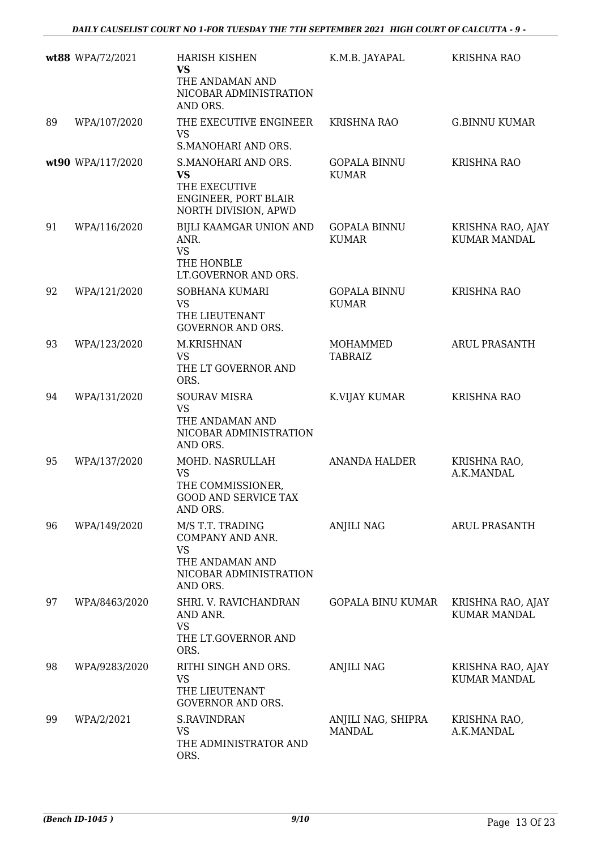|    | wt88 WPA/72/2021  | <b>HARISH KISHEN</b><br><b>VS</b>                                                                          | K.M.B. JAYAPAL                      | <b>KRISHNA RAO</b>                       |
|----|-------------------|------------------------------------------------------------------------------------------------------------|-------------------------------------|------------------------------------------|
|    |                   | THE ANDAMAN AND<br>NICOBAR ADMINISTRATION<br>AND ORS.                                                      |                                     |                                          |
| 89 | WPA/107/2020      | THE EXECUTIVE ENGINEER<br><b>VS</b><br>S.MANOHARI AND ORS.                                                 | <b>KRISHNA RAO</b>                  | <b>G.BINNU KUMAR</b>                     |
|    | wt90 WPA/117/2020 | S.MANOHARI AND ORS.<br><b>VS</b><br>THE EXECUTIVE<br>ENGINEER, PORT BLAIR<br>NORTH DIVISION, APWD          | <b>GOPALA BINNU</b><br><b>KUMAR</b> | <b>KRISHNA RAO</b>                       |
| 91 | WPA/116/2020      | BIJLI KAAMGAR UNION AND<br>ANR.<br><b>VS</b><br>THE HONBLE<br>LT.GOVERNOR AND ORS.                         | <b>GOPALA BINNU</b><br><b>KUMAR</b> | KRISHNA RAO, AJAY<br><b>KUMAR MANDAL</b> |
| 92 | WPA/121/2020      | <b>SOBHANA KUMARI</b><br><b>VS</b><br>THE LIEUTENANT<br><b>GOVERNOR AND ORS.</b>                           | <b>GOPALA BINNU</b><br><b>KUMAR</b> | <b>KRISHNA RAO</b>                       |
| 93 | WPA/123/2020      | M.KRISHNAN<br><b>VS</b><br>THE LT GOVERNOR AND<br>ORS.                                                     | MOHAMMED<br><b>TABRAIZ</b>          | <b>ARUL PRASANTH</b>                     |
| 94 | WPA/131/2020      | <b>SOURAV MISRA</b><br><b>VS</b><br>THE ANDAMAN AND<br>NICOBAR ADMINISTRATION<br>AND ORS.                  | K.VIJAY KUMAR                       | <b>KRISHNA RAO</b>                       |
| 95 | WPA/137/2020      | MOHD. NASRULLAH<br><b>VS</b><br>THE COMMISSIONER,<br>GOOD AND SERVICE TAX<br>AND ORS.                      | <b>ANANDA HALDER</b>                | KRISHNA RAO,<br>A.K.MANDAL               |
| 96 | WPA/149/2020      | M/S T.T. TRADING<br>COMPANY AND ANR.<br><b>VS</b><br>THE ANDAMAN AND<br>NICOBAR ADMINISTRATION<br>AND ORS. | ANJILI NAG                          | ARUL PRASANTH                            |
| 97 | WPA/8463/2020     | SHRI. V. RAVICHANDRAN<br>AND ANR.<br><b>VS</b><br>THE LT.GOVERNOR AND<br>ORS.                              | <b>GOPALA BINU KUMAR</b>            | KRISHNA RAO, AJAY<br><b>KUMAR MANDAL</b> |
| 98 | WPA/9283/2020     | RITHI SINGH AND ORS.<br><b>VS</b><br>THE LIEUTENANT<br><b>GOVERNOR AND ORS.</b>                            | ANJILI NAG                          | KRISHNA RAO, AJAY<br><b>KUMAR MANDAL</b> |
| 99 | WPA/2/2021        | <b>S.RAVINDRAN</b><br><b>VS</b><br>THE ADMINISTRATOR AND<br>ORS.                                           | ANJILI NAG, SHIPRA<br><b>MANDAL</b> | KRISHNA RAO,<br>A.K.MANDAL               |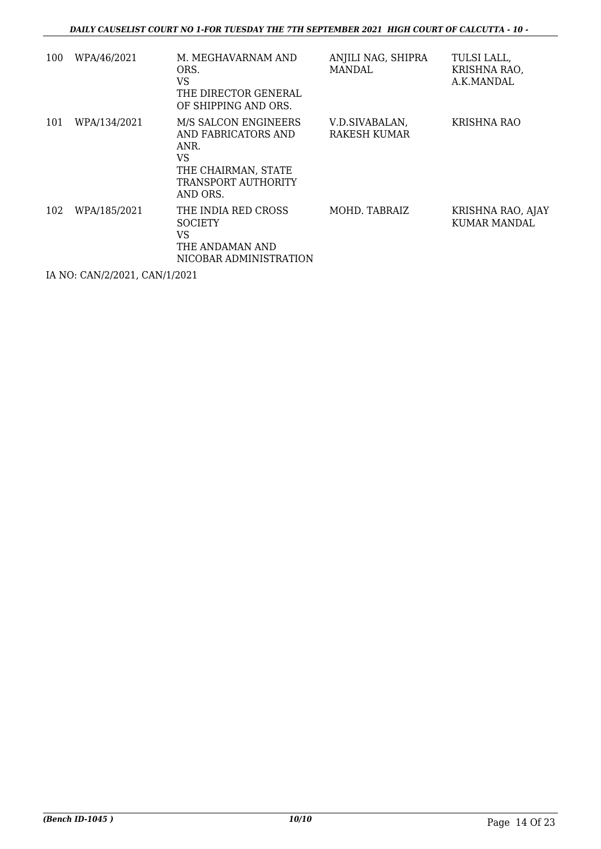| 100 | WPA/46/2021  | M. MEGHAVARNAM AND<br>ORS.<br><b>VS</b><br>THE DIRECTOR GENERAL<br>OF SHIPPING AND ORS.                             | ANJILI NAG, SHIPRA<br><b>MANDAL</b>   | TULSI LALL,<br>KRISHNA RAO,<br>A.K.MANDAL |
|-----|--------------|---------------------------------------------------------------------------------------------------------------------|---------------------------------------|-------------------------------------------|
| 101 | WPA/134/2021 | M/S SALCON ENGINEERS<br>AND FABRICATORS AND<br>ANR.<br>VS<br>THE CHAIRMAN, STATE<br>TRANSPORT AUTHORITY<br>AND ORS. | V.D.SIVABALAN,<br><b>RAKESH KUMAR</b> | <b>KRISHNA RAO</b>                        |
| 102 | WPA/185/2021 | THE INDIA RED CROSS<br><b>SOCIETY</b><br>VS<br>THE ANDAMAN AND<br>NICOBAR ADMINISTRATION                            | MOHD. TABRAIZ                         | KRISHNA RAO, AJAY<br>KUMAR MANDAL         |

IA NO: CAN/2/2021, CAN/1/2021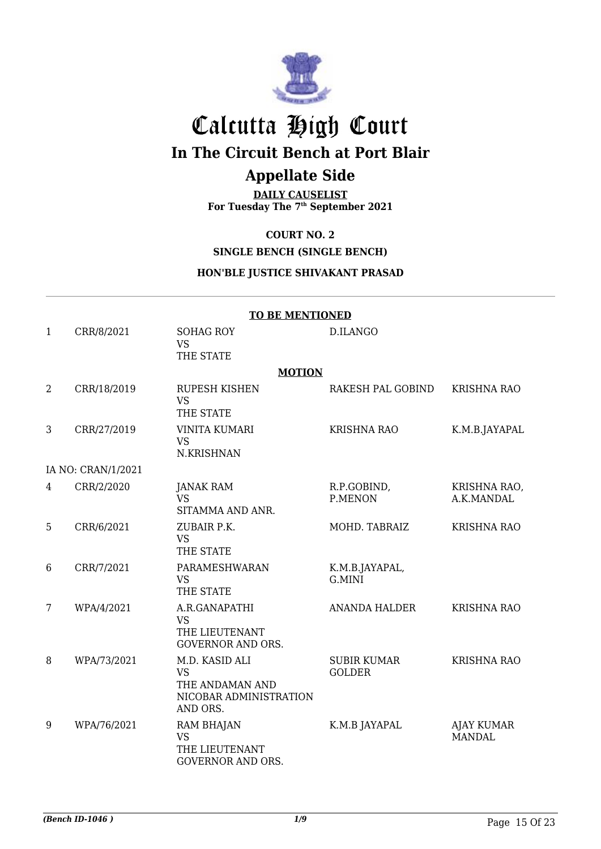

# Calcutta High Court **In The Circuit Bench at Port Blair**

## **Appellate Side**

**DAILY CAUSELIST For Tuesday The 7th September 2021**

#### **COURT NO. 2**

#### **SINGLE BENCH (SINGLE BENCH)**

#### **HON'BLE JUSTICE SHIVAKANT PRASAD**

|                | <b>TO BE MENTIONED</b> |                                                                                      |                                     |                                    |  |
|----------------|------------------------|--------------------------------------------------------------------------------------|-------------------------------------|------------------------------------|--|
| $\mathbf{1}$   | CRR/8/2021             | <b>SOHAG ROY</b><br><b>VS</b><br>THE STATE                                           | D.ILANGO                            |                                    |  |
|                |                        | <b>MOTION</b>                                                                        |                                     |                                    |  |
| $\overline{2}$ | CRR/18/2019            | <b>RUPESH KISHEN</b><br><b>VS</b><br>THE STATE                                       | RAKESH PAL GOBIND                   | <b>KRISHNA RAO</b>                 |  |
| 3              | CRR/27/2019            | <b>VINITA KUMARI</b><br><b>VS</b><br>N.KRISHNAN                                      | <b>KRISHNA RAO</b>                  | K.M.B.JAYAPAL                      |  |
|                | IA NO: CRAN/1/2021     |                                                                                      |                                     |                                    |  |
| 4              | CRR/2/2020             | <b>JANAK RAM</b><br><b>VS</b><br>SITAMMA AND ANR.                                    | R.P.GOBIND,<br>P.MENON              | KRISHNA RAO,<br>A.K.MANDAL         |  |
| 5              | CRR/6/2021             | ZUBAIR P.K.<br><b>VS</b><br>THE STATE                                                | MOHD. TABRAIZ                       | <b>KRISHNA RAO</b>                 |  |
| 6              | CRR/7/2021             | PARAMESHWARAN<br><b>VS</b><br>THE STATE                                              | K.M.B.JAYAPAL,<br>G.MINI            |                                    |  |
| 7              | WPA/4/2021             | A.R.GANAPATHI<br><b>VS</b><br>THE LIEUTENANT<br><b>GOVERNOR AND ORS.</b>             | <b>ANANDA HALDER</b>                | <b>KRISHNA RAO</b>                 |  |
| 8              | WPA/73/2021            | M.D. KASID ALI<br><b>VS</b><br>THE ANDAMAN AND<br>NICOBAR ADMINISTRATION<br>AND ORS. | <b>SUBIR KUMAR</b><br><b>GOLDER</b> | <b>KRISHNA RAO</b>                 |  |
| 9              | WPA/76/2021            | <b>RAM BHAJAN</b><br><b>VS</b><br>THE LIEUTENANT<br><b>GOVERNOR AND ORS.</b>         | K.M.B JAYAPAL                       | <b>AJAY KUMAR</b><br><b>MANDAL</b> |  |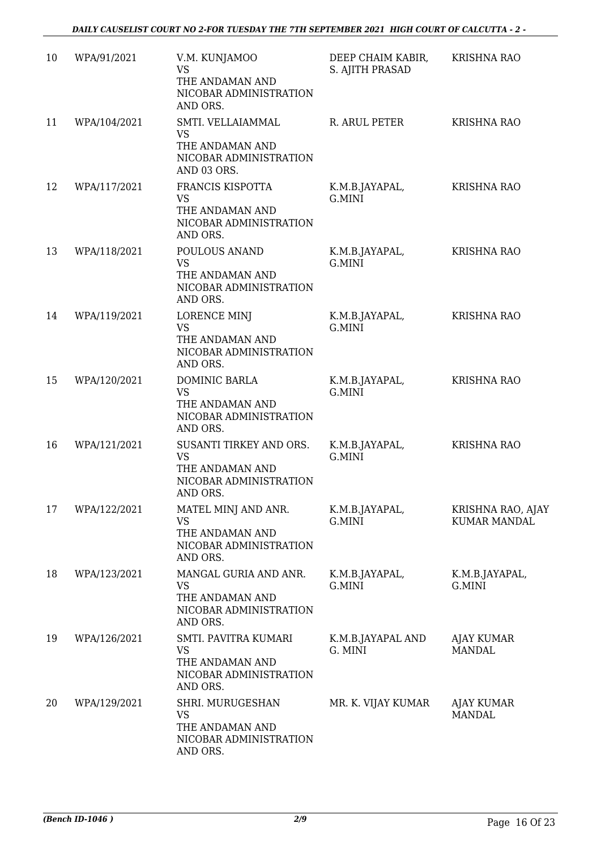| 10 | WPA/91/2021  | V.M. KUNJAMOO<br><b>VS</b><br>THE ANDAMAN AND<br>NICOBAR ADMINISTRATION<br>AND ORS.           | DEEP CHAIM KABIR,<br>S. AJITH PRASAD | <b>KRISHNA RAO</b>                       |
|----|--------------|-----------------------------------------------------------------------------------------------|--------------------------------------|------------------------------------------|
| 11 | WPA/104/2021 | SMTI. VELLAIAMMAL<br><b>VS</b><br>THE ANDAMAN AND<br>NICOBAR ADMINISTRATION<br>AND 03 ORS.    | R. ARUL PETER                        | <b>KRISHNA RAO</b>                       |
| 12 | WPA/117/2021 | FRANCIS KISPOTTA<br>VS<br>THE ANDAMAN AND<br>NICOBAR ADMINISTRATION<br>AND ORS.               | K.M.B.JAYAPAL,<br>G.MINI             | <b>KRISHNA RAO</b>                       |
| 13 | WPA/118/2021 | POULOUS ANAND<br><b>VS</b><br>THE ANDAMAN AND<br>NICOBAR ADMINISTRATION<br>AND ORS.           | K.M.B.JAYAPAL,<br>G.MINI             | <b>KRISHNA RAO</b>                       |
| 14 | WPA/119/2021 | <b>LORENCE MINJ</b><br><b>VS</b><br>THE ANDAMAN AND<br>NICOBAR ADMINISTRATION<br>AND ORS.     | K.M.B.JAYAPAL,<br>G.MINI             | <b>KRISHNA RAO</b>                       |
| 15 | WPA/120/2021 | DOMINIC BARLA<br>VS<br>THE ANDAMAN AND<br>NICOBAR ADMINISTRATION<br>AND ORS.                  | K.M.B.JAYAPAL,<br>G.MINI             | <b>KRISHNA RAO</b>                       |
| 16 | WPA/121/2021 | SUSANTI TIRKEY AND ORS.<br><b>VS</b><br>THE ANDAMAN AND<br>NICOBAR ADMINISTRATION<br>AND ORS. | K.M.B.JAYAPAL,<br>G.MINI             | <b>KRISHNA RAO</b>                       |
| 17 | WPA/122/2021 | MATEL MINJ AND ANR.<br><b>VS</b><br>THE ANDAMAN AND<br>NICOBAR ADMINISTRATION<br>AND ORS.     | K.M.B.JAYAPAL,<br>G.MINI             | KRISHNA RAO, AJAY<br><b>KUMAR MANDAL</b> |
| 18 | WPA/123/2021 | MANGAL GURIA AND ANR.<br>VS<br>THE ANDAMAN AND<br>NICOBAR ADMINISTRATION<br>AND ORS.          | K.M.B.JAYAPAL,<br>G.MINI             | K.M.B.JAYAPAL,<br>G.MINI                 |
| 19 | WPA/126/2021 | SMTI. PAVITRA KUMARI<br><b>VS</b><br>THE ANDAMAN AND<br>NICOBAR ADMINISTRATION<br>AND ORS.    | K.M.B.JAYAPAL AND<br>G. MINI         | <b>AJAY KUMAR</b><br><b>MANDAL</b>       |
| 20 | WPA/129/2021 | SHRI. MURUGESHAN<br><b>VS</b><br>THE ANDAMAN AND<br>NICOBAR ADMINISTRATION<br>AND ORS.        | MR. K. VIJAY KUMAR                   | AJAY KUMAR<br><b>MANDAL</b>              |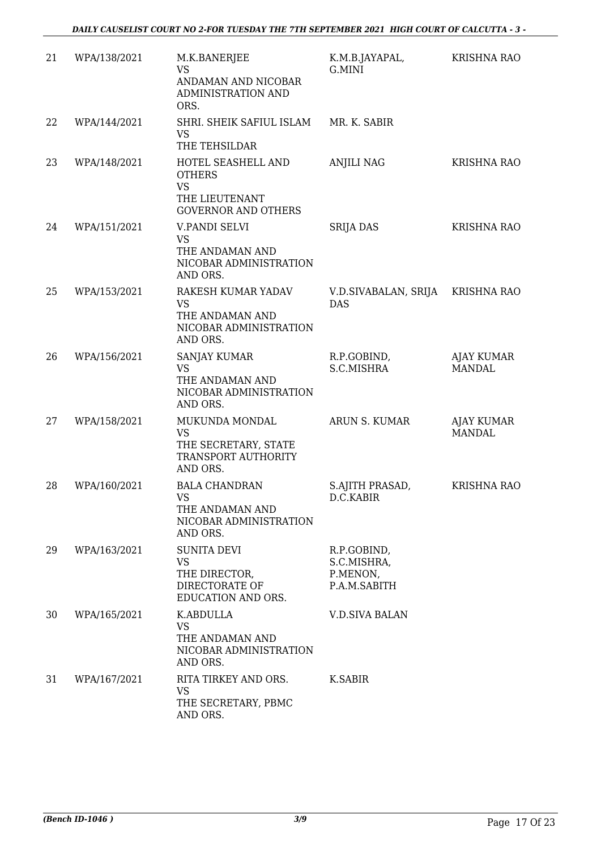| 21 | WPA/138/2021 | M.K.BANERJEE<br><b>VS</b>                                                                        | K.M.B.JAYAPAL,<br>G.MINI                               | <b>KRISHNA RAO</b>                 |
|----|--------------|--------------------------------------------------------------------------------------------------|--------------------------------------------------------|------------------------------------|
|    |              | ANDAMAN AND NICOBAR<br>ADMINISTRATION AND<br>ORS.                                                |                                                        |                                    |
| 22 | WPA/144/2021 | SHRI. SHEIK SAFIUL ISLAM<br><b>VS</b><br>THE TEHSILDAR                                           | MR. K. SABIR                                           |                                    |
| 23 | WPA/148/2021 | HOTEL SEASHELL AND<br><b>OTHERS</b><br><b>VS</b><br>THE LIEUTENANT<br><b>GOVERNOR AND OTHERS</b> | <b>ANJILI NAG</b>                                      | <b>KRISHNA RAO</b>                 |
| 24 | WPA/151/2021 | V.PANDI SELVI<br><b>VS</b><br>THE ANDAMAN AND<br>NICOBAR ADMINISTRATION<br>AND ORS.              | <b>SRIJA DAS</b>                                       | <b>KRISHNA RAO</b>                 |
| 25 | WPA/153/2021 | RAKESH KUMAR YADAV<br><b>VS</b><br>THE ANDAMAN AND<br>NICOBAR ADMINISTRATION<br>AND ORS.         | V.D.SIVABALAN, SRIJA<br><b>DAS</b>                     | <b>KRISHNA RAO</b>                 |
| 26 | WPA/156/2021 | SANJAY KUMAR<br><b>VS</b><br>THE ANDAMAN AND<br>NICOBAR ADMINISTRATION<br>AND ORS.               | R.P.GOBIND,<br>S.C.MISHRA                              | <b>AJAY KUMAR</b><br><b>MANDAL</b> |
| 27 | WPA/158/2021 | MUKUNDA MONDAL<br><b>VS</b><br>THE SECRETARY, STATE<br>TRANSPORT AUTHORITY<br>AND ORS.           | ARUN S. KUMAR                                          | <b>AJAY KUMAR</b><br><b>MANDAL</b> |
| 28 | WPA/160/2021 | <b>BALA CHANDRAN</b><br><b>VS</b><br>THE ANDAMAN AND<br>NICOBAR ADMINISTRATION<br>AND ORS.       | S.AJITH PRASAD,<br>D.C.KABIR                           | <b>KRISHNA RAO</b>                 |
| 29 | WPA/163/2021 | <b>SUNITA DEVI</b><br><b>VS</b><br>THE DIRECTOR,<br>DIRECTORATE OF<br>EDUCATION AND ORS.         | R.P.GOBIND,<br>S.C.MISHRA,<br>P.MENON,<br>P.A.M.SABITH |                                    |
| 30 | WPA/165/2021 | K.ABDULLA<br><b>VS</b><br>THE ANDAMAN AND<br>NICOBAR ADMINISTRATION<br>AND ORS.                  | <b>V.D.SIVA BALAN</b>                                  |                                    |
| 31 | WPA/167/2021 | RITA TIRKEY AND ORS.<br><b>VS</b><br>THE SECRETARY, PBMC<br>AND ORS.                             | K.SABIR                                                |                                    |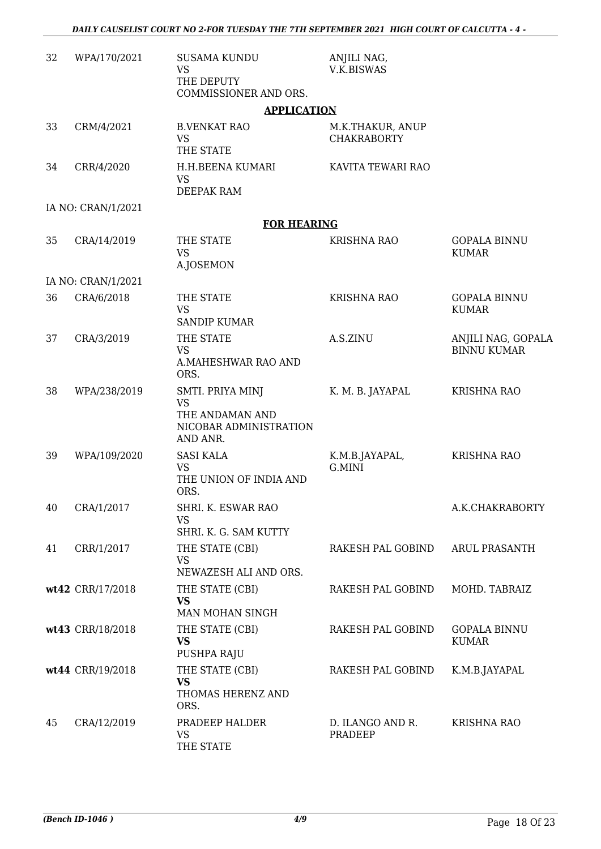| 32 | WPA/170/2021       | <b>SUSAMA KUNDU</b><br><b>VS</b><br>THE DEPUTY<br>COMMISSIONER AND ORS.                | ANJILI NAG,<br>V.K.BISWAS              |                                          |
|----|--------------------|----------------------------------------------------------------------------------------|----------------------------------------|------------------------------------------|
|    |                    | <b>APPLICATION</b>                                                                     |                                        |                                          |
| 33 | CRM/4/2021         | <b>B.VENKAT RAO</b><br><b>VS</b><br>THE STATE                                          | M.K.THAKUR, ANUP<br><b>CHAKRABORTY</b> |                                          |
| 34 | CRR/4/2020         | H.H.BEENA KUMARI<br><b>VS</b><br>DEEPAK RAM                                            | KAVITA TEWARI RAO                      |                                          |
|    | IA NO: CRAN/1/2021 |                                                                                        |                                        |                                          |
|    |                    | <b>FOR HEARING</b>                                                                     |                                        |                                          |
| 35 | CRA/14/2019        | THE STATE<br><b>VS</b><br>A.JOSEMON                                                    | <b>KRISHNA RAO</b>                     | <b>GOPALA BINNU</b><br><b>KUMAR</b>      |
|    | IA NO: CRAN/1/2021 |                                                                                        |                                        |                                          |
| 36 | CRA/6/2018         | THE STATE<br><b>VS</b><br><b>SANDIP KUMAR</b>                                          | KRISHNA RAO                            | <b>GOPALA BINNU</b><br><b>KUMAR</b>      |
| 37 | CRA/3/2019         | THE STATE<br><b>VS</b><br>A.MAHESHWAR RAO AND<br>ORS.                                  | A.S.ZINU                               | ANJILI NAG, GOPALA<br><b>BINNU KUMAR</b> |
| 38 | WPA/238/2019       | SMTI. PRIYA MINJ<br><b>VS</b><br>THE ANDAMAN AND<br>NICOBAR ADMINISTRATION<br>AND ANR. | K. M. B. JAYAPAL                       | <b>KRISHNA RAO</b>                       |
| 39 | WPA/109/2020       | <b>SASI KALA</b><br><b>VS</b><br>THE UNION OF INDIA AND<br>ORS.                        | K.M.B.JAYAPAL,<br>G.MINI               | <b>KRISHNA RAO</b>                       |
| 40 | CRA/1/2017         | SHRI. K. ESWAR RAO<br>VS<br>SHRI. K. G. SAM KUTTY                                      |                                        | A.K.CHAKRABORTY                          |
| 41 | CRR/1/2017         | THE STATE (CBI)<br><b>VS</b><br>NEWAZESH ALI AND ORS.                                  | RAKESH PAL GOBIND                      | <b>ARUL PRASANTH</b>                     |
|    | wt42 CRR/17/2018   | THE STATE (CBI)<br><b>VS</b><br>MAN MOHAN SINGH                                        | RAKESH PAL GOBIND                      | MOHD. TABRAIZ                            |
|    | wt43 CRR/18/2018   | THE STATE (CBI)<br><b>VS</b><br>PUSHPA RAJU                                            | RAKESH PAL GOBIND                      | <b>GOPALA BINNU</b><br><b>KUMAR</b>      |
|    | wt44 CRR/19/2018   | THE STATE (CBI)<br><b>VS</b><br>THOMAS HERENZ AND<br>ORS.                              | RAKESH PAL GOBIND                      | K.M.B.JAYAPAL                            |
| 45 | CRA/12/2019        | PRADEEP HALDER<br><b>VS</b><br>THE STATE                                               | D. ILANGO AND R.<br>PRADEEP            | <b>KRISHNA RAO</b>                       |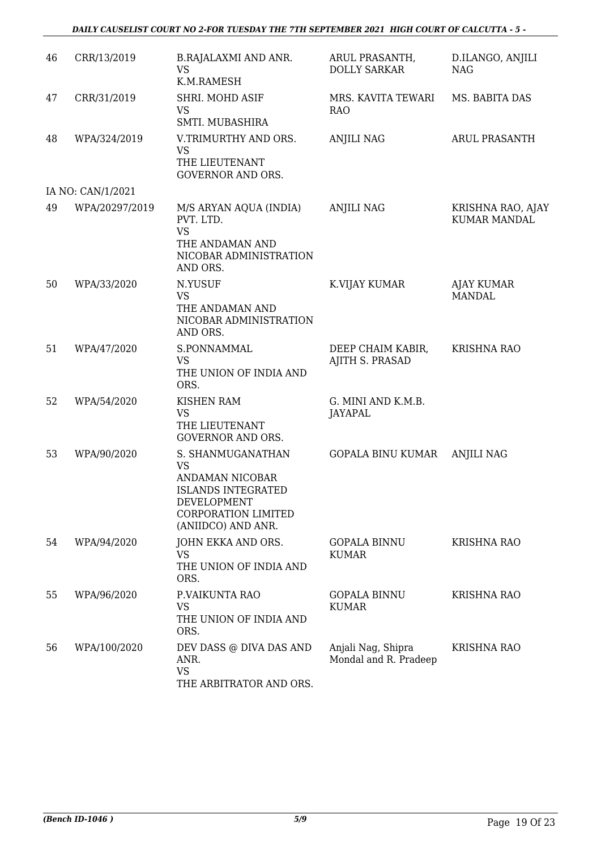#### *DAILY CAUSELIST COURT NO 2-FOR TUESDAY THE 7TH SEPTEMBER 2021 HIGH COURT OF CALCUTTA - 5 -*

| 46 | CRR/13/2019       | <b>B.RAJALAXMI AND ANR.</b>                                                                                                                | ARUL PRASANTH,                              | D.ILANGO, ANJILI                         |
|----|-------------------|--------------------------------------------------------------------------------------------------------------------------------------------|---------------------------------------------|------------------------------------------|
|    |                   | <b>VS</b><br>K.M.RAMESH                                                                                                                    | <b>DOLLY SARKAR</b>                         | <b>NAG</b>                               |
| 47 | CRR/31/2019       | SHRI. MOHD ASIF<br><b>VS</b><br>SMTI. MUBASHIRA                                                                                            | MRS. KAVITA TEWARI<br><b>RAO</b>            | MS. BABITA DAS                           |
| 48 | WPA/324/2019      | V.TRIMURTHY AND ORS.<br><b>VS</b><br>THE LIEUTENANT<br><b>GOVERNOR AND ORS.</b>                                                            | <b>ANJILI NAG</b>                           | ARUL PRASANTH                            |
|    | IA NO: CAN/1/2021 |                                                                                                                                            |                                             |                                          |
| 49 | WPA/20297/2019    | M/S ARYAN AQUA (INDIA)<br>PVT. LTD.<br><b>VS</b><br>THE ANDAMAN AND<br>NICOBAR ADMINISTRATION<br>AND ORS.                                  | <b>ANJILI NAG</b>                           | KRISHNA RAO, AJAY<br><b>KUMAR MANDAL</b> |
| 50 | WPA/33/2020       | N.YUSUF<br>VS<br>THE ANDAMAN AND<br>NICOBAR ADMINISTRATION<br>AND ORS.                                                                     | K.VIJAY KUMAR                               | <b>AJAY KUMAR</b><br><b>MANDAL</b>       |
| 51 | WPA/47/2020       | S.PONNAMMAL<br><b>VS</b><br>THE UNION OF INDIA AND<br>ORS.                                                                                 | DEEP CHAIM KABIR,<br>AJITH S. PRASAD        | <b>KRISHNA RAO</b>                       |
| 52 | WPA/54/2020       | <b>KISHEN RAM</b><br><b>VS</b><br>THE LIEUTENANT<br><b>GOVERNOR AND ORS.</b>                                                               | G. MINI AND K.M.B.<br><b>JAYAPAL</b>        |                                          |
| 53 | WPA/90/2020       | S. SHANMUGANATHAN<br>VS<br>ANDAMAN NICOBAR<br><b>ISLANDS INTEGRATED</b><br>DEVELOPMENT<br><b>CORPORATION LIMITED</b><br>(ANIIDCO) AND ANR. | GOPALA BINU KUMAR                           | <b>ANJILI NAG</b>                        |
| 54 | WPA/94/2020       | JOHN EKKA AND ORS.<br><b>VS</b><br>THE UNION OF INDIA AND<br>ORS.                                                                          | <b>GOPALA BINNU</b><br><b>KUMAR</b>         | <b>KRISHNA RAO</b>                       |
| 55 | WPA/96/2020       | P.VAIKUNTA RAO<br><b>VS</b><br>THE UNION OF INDIA AND<br>ORS.                                                                              | <b>GOPALA BINNU</b><br><b>KUMAR</b>         | <b>KRISHNA RAO</b>                       |
| 56 | WPA/100/2020      | DEV DASS @ DIVA DAS AND<br>ANR.<br><b>VS</b><br>THE ARBITRATOR AND ORS.                                                                    | Anjali Nag, Shipra<br>Mondal and R. Pradeep | <b>KRISHNA RAO</b>                       |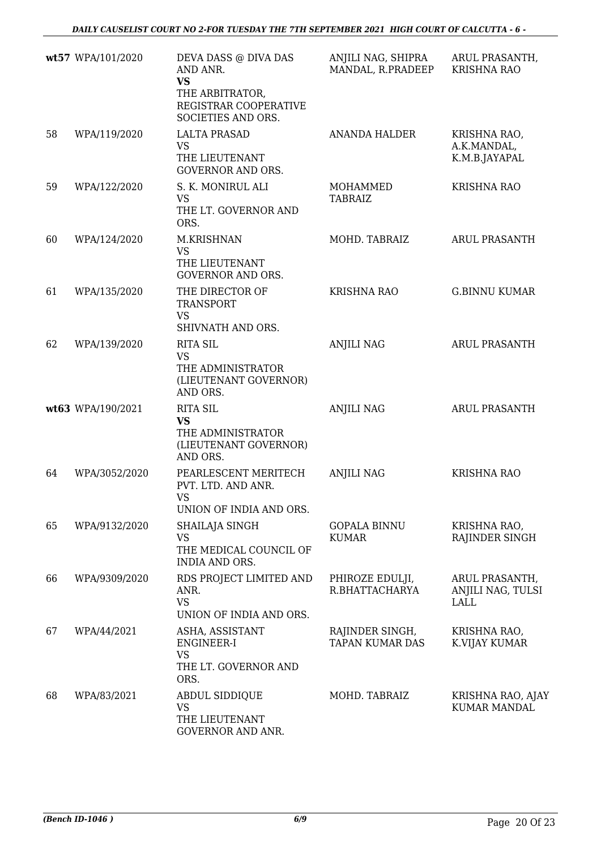*DAILY CAUSELIST COURT NO 2-FOR TUESDAY THE 7TH SEPTEMBER 2021 HIGH COURT OF CALCUTTA - 6 -* 

|    | wt57 WPA/101/2020 | DEVA DASS @ DIVA DAS<br>AND ANR.<br><b>VS</b><br>THE ARBITRATOR,<br>REGISTRAR COOPERATIVE<br>SOCIETIES AND ORS. | ANJILI NAG, SHIPRA<br>MANDAL, R.PRADEEP   | ARUL PRASANTH,<br><b>KRISHNA RAO</b>               |
|----|-------------------|-----------------------------------------------------------------------------------------------------------------|-------------------------------------------|----------------------------------------------------|
| 58 | WPA/119/2020      | <b>LALTA PRASAD</b><br>VS<br>THE LIEUTENANT<br><b>GOVERNOR AND ORS.</b>                                         | <b>ANANDA HALDER</b>                      | KRISHNA RAO,<br>A.K.MANDAL,<br>K.M.B.JAYAPAL       |
| 59 | WPA/122/2020      | S. K. MONIRUL ALI<br><b>VS</b><br>THE LT. GOVERNOR AND<br>ORS.                                                  | MOHAMMED<br><b>TABRAIZ</b>                | <b>KRISHNA RAO</b>                                 |
| 60 | WPA/124/2020      | M.KRISHNAN<br><b>VS</b><br>THE LIEUTENANT<br><b>GOVERNOR AND ORS.</b>                                           | MOHD. TABRAIZ                             | ARUL PRASANTH                                      |
| 61 | WPA/135/2020      | THE DIRECTOR OF<br><b>TRANSPORT</b><br><b>VS</b><br>SHIVNATH AND ORS.                                           | <b>KRISHNA RAO</b>                        | <b>G.BINNU KUMAR</b>                               |
| 62 | WPA/139/2020      | <b>RITA SIL</b><br><b>VS</b><br>THE ADMINISTRATOR<br>(LIEUTENANT GOVERNOR)<br>AND ORS.                          | <b>ANJILI NAG</b>                         | <b>ARUL PRASANTH</b>                               |
|    | wt63 WPA/190/2021 | <b>RITA SIL</b><br><b>VS</b><br>THE ADMINISTRATOR<br>(LIEUTENANT GOVERNOR)<br>AND ORS.                          | <b>ANJILI NAG</b>                         | <b>ARUL PRASANTH</b>                               |
| 64 | WPA/3052/2020     | PEARLESCENT MERITECH<br>PVT. LTD. AND ANR.<br>VS<br>UNION OF INDIA AND ORS.                                     | <b>ANJILI NAG</b>                         | <b>KRISHNA RAO</b>                                 |
| 65 | WPA/9132/2020     | SHAILAJA SINGH<br>VS<br>THE MEDICAL COUNCIL OF<br><b>INDIA AND ORS.</b>                                         | <b>GOPALA BINNU</b><br><b>KUMAR</b>       | KRISHNA RAO,<br>RAJINDER SINGH                     |
| 66 | WPA/9309/2020     | RDS PROJECT LIMITED AND<br>ANR.<br><b>VS</b><br>UNION OF INDIA AND ORS.                                         | PHIROZE EDULJI,<br>R.BHATTACHARYA         | ARUL PRASANTH,<br>ANJILI NAG, TULSI<br><b>LALL</b> |
| 67 | WPA/44/2021       | ASHA, ASSISTANT<br>ENGINEER-I<br><b>VS</b><br>THE LT. GOVERNOR AND<br>ORS.                                      | RAJINDER SINGH,<br><b>TAPAN KUMAR DAS</b> | KRISHNA RAO,<br>K.VIJAY KUMAR                      |
| 68 | WPA/83/2021       | <b>ABDUL SIDDIQUE</b><br>VS<br>THE LIEUTENANT<br>GOVERNOR AND ANR.                                              | MOHD. TABRAIZ                             | KRISHNA RAO, AJAY<br><b>KUMAR MANDAL</b>           |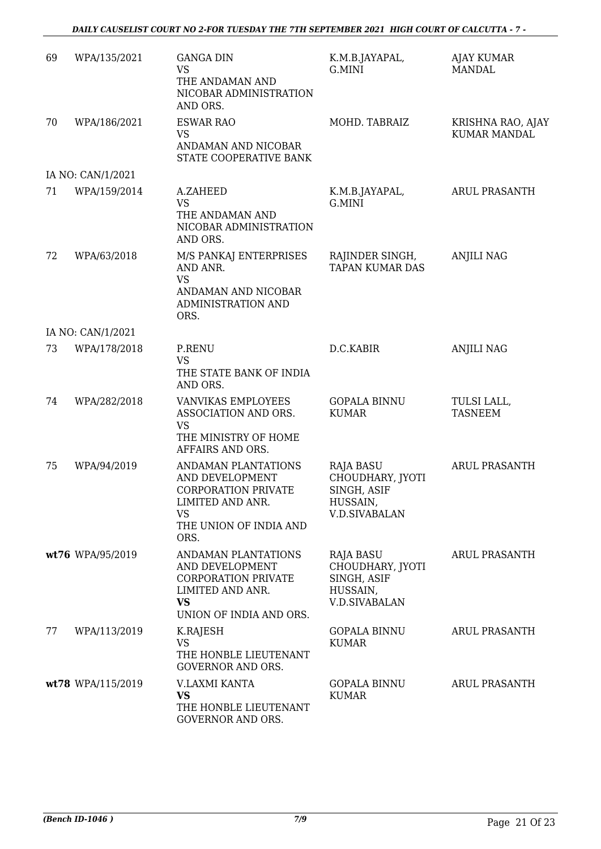#### *DAILY CAUSELIST COURT NO 2-FOR TUESDAY THE 7TH SEPTEMBER 2021 HIGH COURT OF CALCUTTA - 7 -*

| 69 | WPA/135/2021      | <b>GANGA DIN</b><br><b>VS</b><br>THE ANDAMAN AND<br>NICOBAR ADMINISTRATION<br>AND ORS.                                                  | K.M.B.JAYAPAL,<br>G.MINI                                                         | <b>AJAY KUMAR</b><br>MANDAL              |
|----|-------------------|-----------------------------------------------------------------------------------------------------------------------------------------|----------------------------------------------------------------------------------|------------------------------------------|
| 70 | WPA/186/2021      | <b>ESWAR RAO</b><br><b>VS</b><br>ANDAMAN AND NICOBAR<br>STATE COOPERATIVE BANK                                                          | MOHD. TABRAIZ                                                                    | KRISHNA RAO, AJAY<br><b>KUMAR MANDAL</b> |
|    | IA NO: CAN/1/2021 |                                                                                                                                         |                                                                                  |                                          |
| 71 | WPA/159/2014      | A.ZAHEED<br><b>VS</b><br>THE ANDAMAN AND<br>NICOBAR ADMINISTRATION<br>AND ORS.                                                          | K.M.B.JAYAPAL,<br>G.MINI                                                         | <b>ARUL PRASANTH</b>                     |
| 72 | WPA/63/2018       | M/S PANKAJ ENTERPRISES<br>AND ANR.<br><b>VS</b><br>ANDAMAN AND NICOBAR<br>ADMINISTRATION AND<br>ORS.                                    | RAJINDER SINGH,<br><b>TAPAN KUMAR DAS</b>                                        | <b>ANJILI NAG</b>                        |
|    | IA NO: CAN/1/2021 |                                                                                                                                         |                                                                                  |                                          |
| 73 | WPA/178/2018      | P.RENU<br><b>VS</b><br>THE STATE BANK OF INDIA<br>AND ORS.                                                                              | D.C.KABIR                                                                        | <b>ANJILI NAG</b>                        |
| 74 | WPA/282/2018      | <b>VANVIKAS EMPLOYEES</b><br>ASSOCIATION AND ORS.<br><b>VS</b><br>THE MINISTRY OF HOME<br>AFFAIRS AND ORS.                              | <b>GOPALA BINNU</b><br><b>KUMAR</b>                                              | TULSI LALL,<br><b>TASNEEM</b>            |
| 75 | WPA/94/2019       | ANDAMAN PLANTATIONS<br>AND DEVELOPMENT<br><b>CORPORATION PRIVATE</b><br>LIMITED AND ANR.<br><b>VS</b><br>THE UNION OF INDIA AND<br>ORS. | RAJA BASU<br>CHOUDHARY, JYOTI<br>SINGH, ASIF<br>HUSSAIN,<br><b>V.D.SIVABALAN</b> | <b>ARUL PRASANTH</b>                     |
|    | wt76 WPA/95/2019  | ANDAMAN PLANTATIONS<br>AND DEVELOPMENT<br><b>CORPORATION PRIVATE</b><br>LIMITED AND ANR.<br><b>VS</b><br>UNION OF INDIA AND ORS.        | RAJA BASU<br>CHOUDHARY, JYOTI<br>SINGH, ASIF<br>HUSSAIN,<br><b>V.D.SIVABALAN</b> | <b>ARUL PRASANTH</b>                     |
| 77 | WPA/113/2019      | K.RAJESH<br><b>VS</b><br>THE HONBLE LIEUTENANT<br><b>GOVERNOR AND ORS.</b>                                                              | <b>GOPALA BINNU</b><br><b>KUMAR</b>                                              | ARUL PRASANTH                            |
|    | wt78 WPA/115/2019 | V.LAXMI KANTA<br><b>VS</b><br>THE HONBLE LIEUTENANT<br>GOVERNOR AND ORS.                                                                | <b>GOPALA BINNU</b><br><b>KUMAR</b>                                              | ARUL PRASANTH                            |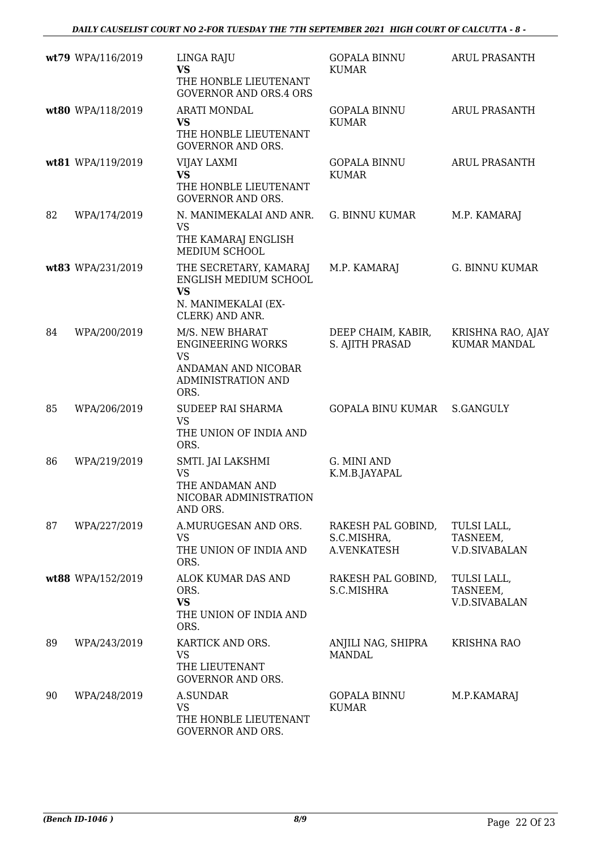|    | wt79 WPA/116/2019 | LINGA RAJU<br><b>VS</b><br>THE HONBLE LIEUTENANT<br><b>GOVERNOR AND ORS.4 ORS</b>                             | <b>GOPALA BINNU</b><br><b>KUMAR</b>              | <b>ARUL PRASANTH</b>                            |
|----|-------------------|---------------------------------------------------------------------------------------------------------------|--------------------------------------------------|-------------------------------------------------|
|    | wt80 WPA/118/2019 | <b>ARATI MONDAL</b><br><b>VS</b><br>THE HONBLE LIEUTENANT<br><b>GOVERNOR AND ORS.</b>                         | <b>GOPALA BINNU</b><br><b>KUMAR</b>              | <b>ARUL PRASANTH</b>                            |
|    | wt81 WPA/119/2019 | VIJAY LAXMI<br><b>VS</b><br>THE HONBLE LIEUTENANT<br><b>GOVERNOR AND ORS.</b>                                 | <b>GOPALA BINNU</b><br><b>KUMAR</b>              | <b>ARUL PRASANTH</b>                            |
| 82 | WPA/174/2019      | N. MANIMEKALAI AND ANR.<br><b>VS</b><br>THE KAMARAJ ENGLISH<br>MEDIUM SCHOOL                                  | <b>G. BINNU KUMAR</b>                            | M.P. KAMARAJ                                    |
|    | wt83 WPA/231/2019 | THE SECRETARY, KAMARAJ<br>ENGLISH MEDIUM SCHOOL<br><b>VS</b><br>N. MANIMEKALAI (EX-<br>CLERK) AND ANR.        | M.P. KAMARAJ                                     | G. BINNU KUMAR                                  |
| 84 | WPA/200/2019      | M/S. NEW BHARAT<br><b>ENGINEERING WORKS</b><br><b>VS</b><br>ANDAMAN AND NICOBAR<br>ADMINISTRATION AND<br>ORS. | DEEP CHAIM, KABIR,<br>S. AJITH PRASAD            | KRISHNA RAO, AJAY<br><b>KUMAR MANDAL</b>        |
| 85 | WPA/206/2019      | SUDEEP RAI SHARMA<br><b>VS</b><br>THE UNION OF INDIA AND<br>ORS.                                              | <b>GOPALA BINU KUMAR</b>                         | <b>S.GANGULY</b>                                |
| 86 | WPA/219/2019      | SMTI. JAI LAKSHMI<br><b>VS</b><br>THE ANDAMAN AND<br>NICOBAR ADMINISTRATION<br>AND ORS.                       | G. MINI AND<br>K.M.B.JAYAPAL                     |                                                 |
| 87 | WPA/227/2019      | A.MURUGESAN AND ORS.<br><b>VS</b><br>THE UNION OF INDIA AND<br>ORS.                                           | RAKESH PAL GOBIND,<br>S.C.MISHRA,<br>A.VENKATESH | TULSI LALL,<br>TASNEEM,<br><b>V.D.SIVABALAN</b> |
|    | wt88 WPA/152/2019 | ALOK KUMAR DAS AND<br>ORS.<br><b>VS</b><br>THE UNION OF INDIA AND<br>ORS.                                     | RAKESH PAL GOBIND,<br>S.C.MISHRA                 | TULSI LALL,<br>TASNEEM,<br><b>V.D.SIVABALAN</b> |
| 89 | WPA/243/2019      | KARTICK AND ORS.<br><b>VS</b><br>THE LIEUTENANT<br><b>GOVERNOR AND ORS.</b>                                   | ANJILI NAG, SHIPRA<br><b>MANDAL</b>              | <b>KRISHNA RAO</b>                              |
| 90 | WPA/248/2019      | <b>A.SUNDAR</b><br><b>VS</b><br>THE HONBLE LIEUTENANT<br>GOVERNOR AND ORS.                                    | <b>GOPALA BINNU</b><br><b>KUMAR</b>              | M.P.KAMARAJ                                     |